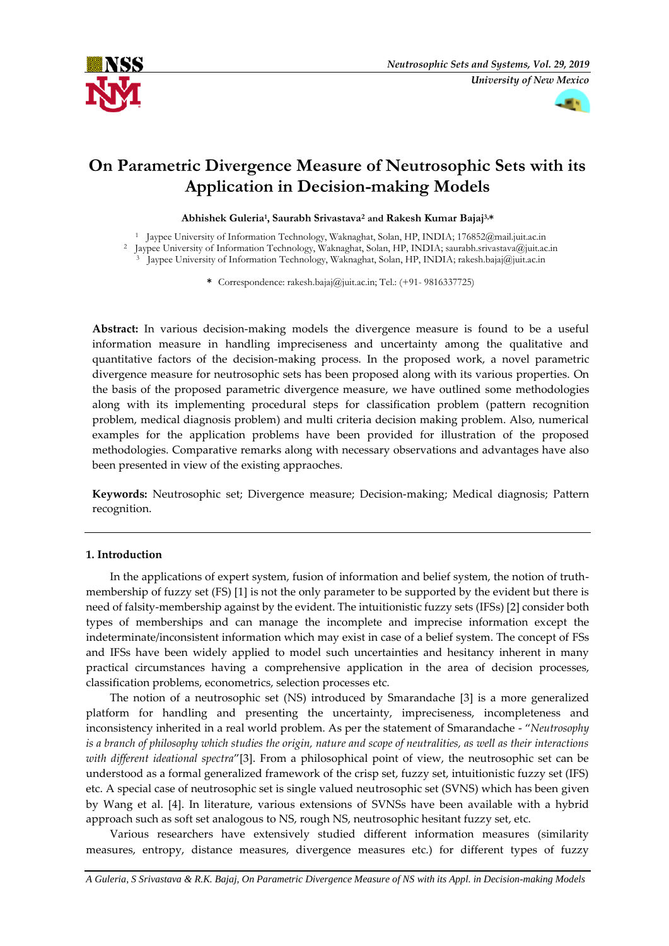



# **On Parametric Divergence Measure of Neutrosophic Sets with its Application in Decision-making Models**

# **Abhishek Guleria<sup>1</sup> , Saurabh Srivastava<sup>2</sup> and Rakesh Kumar Bajaj3,\***

<sup>1</sup> Jaypee University of Information Technology, Waknaghat, Solan, HP, INDIA; 176852@mail.juit.ac.in

<sup>2</sup> Jaypee University of Information Technology, Waknaghat, Solan, HP, INDIA[; saurabh.srivastava@juit.ac.in](mailto:saurabh.srivastava@juit.ac.in)

Jaypee University of Information Technology, Waknaghat, Solan, HP, INDIA; rakesh.bajaj@juit.ac.in

**\*** Correspondence: rakesh.bajaj@juit.ac.in; Tel.: (+91- 9816337725)

**Abstract:** In various decision-making models the divergence measure is found to be a useful information measure in handling impreciseness and uncertainty among the qualitative and quantitative factors of the decision-making process. In the proposed work, a novel parametric divergence measure for neutrosophic sets has been proposed along with its various properties. On the basis of the proposed parametric divergence measure, we have outlined some methodologies along with its implementing procedural steps for classification problem (pattern recognition problem, medical diagnosis problem) and multi criteria decision making problem. Also, numerical examples for the application problems have been provided for illustration of the proposed methodologies. Comparative remarks along with necessary observations and advantages have also been presented in view of the existing appraoches.

**Keywords:** Neutrosophic set; Divergence measure; Decision-making; Medical diagnosis; Pattern recognition.

# **1. Introduction**

In the applications of expert system, fusion of information and belief system, the notion of truthmembership of fuzzy set (FS) [1] is not the only parameter to be supported by the evident but there is need of falsity-membership against by the evident. The intuitionistic fuzzy sets (IFSs) [2] consider both types of memberships and can manage the incomplete and imprecise information except the indeterminate/inconsistent information which may exist in case of a belief system. The concept of FSs and IFSs have been widely applied to model such uncertainties and hesitancy inherent in many practical circumstances having a comprehensive application in the area of decision processes, classification problems, econometrics, selection processes etc.

The notion of a neutrosophic set (NS) introduced by Smarandache [3] is a more generalized platform for handling and presenting the uncertainty, impreciseness, incompleteness and inconsistency inherited in a real world problem. As per the statement of Smarandache - "*Neutrosophy is a branch of philosophy which studies the origin, nature and scope of neutralities, as well as their interactions with different ideational spectra*"[3]. From a philosophical point of view, the neutrosophic set can be understood as a formal generalized framework of the crisp set, fuzzy set, intuitionistic fuzzy set (IFS) etc. A special case of neutrosophic set is single valued neutrosophic set (SVNS) which has been given by Wang et al. [4]. In literature, various extensions of SVNSs have been available with a hybrid approach such as soft set analogous to NS, rough NS, neutrosophic hesitant fuzzy set, etc.

Various researchers have extensively studied different information measures (similarity measures, entropy, distance measures, divergence measures etc.) for different types of fuzzy

*A Guleria, S Srivastava & R.K. Bajaj, On Parametric Divergence Measure of NS with its Appl. in Decision-making Models*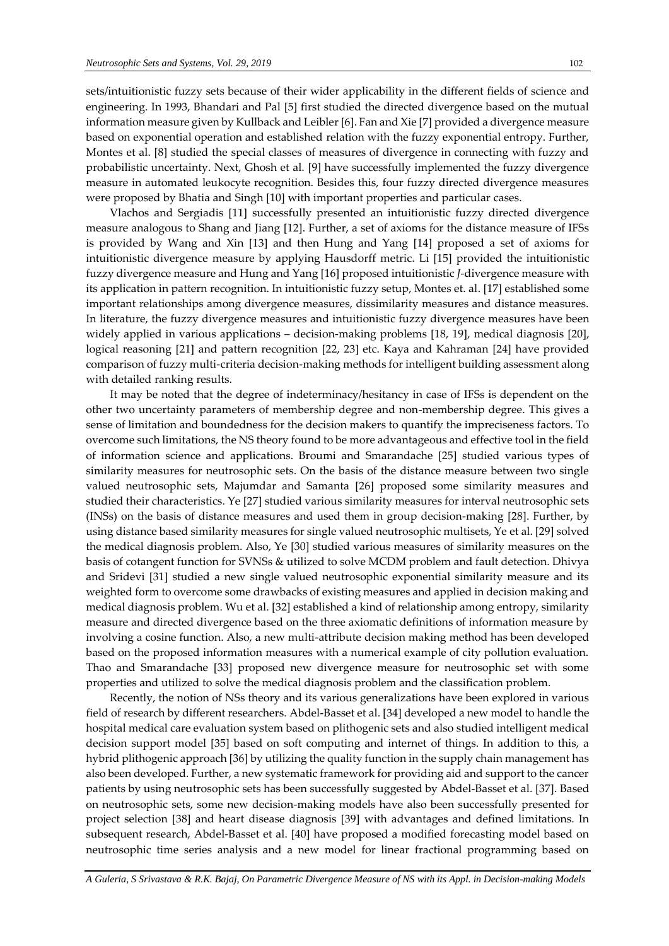sets/intuitionistic fuzzy sets because of their wider applicability in the different fields of science and engineering. In 1993, Bhandari and Pal [5] first studied the directed divergence based on the mutual information measure given by Kullback and Leibler [6]. Fan and Xie [7] provided a divergence measure based on exponential operation and established relation with the fuzzy exponential entropy. Further, Montes et al. [8] studied the special classes of measures of divergence in connecting with fuzzy and probabilistic uncertainty. Next, Ghosh et al. [9] have successfully implemented the fuzzy divergence measure in automated leukocyte recognition. Besides this, four fuzzy directed divergence measures were proposed by Bhatia and Singh [10] with important properties and particular cases.

Vlachos and Sergiadis [11] successfully presented an intuitionistic fuzzy directed divergence measure analogous to Shang and Jiang [12]. Further, a set of axioms for the distance measure of IFSs is provided by Wang and Xin [13] and then Hung and Yang [14] proposed a set of axioms for intuitionistic divergence measure by applying Hausdorff metric. Li [15] provided the intuitionistic fuzzy divergence measure and Hung and Yang [16] proposed intuitionistic *J*-divergence measure with its application in pattern recognition. In intuitionistic fuzzy setup, Montes et. al. [17] established some important relationships among divergence measures, dissimilarity measures and distance measures. In literature, the fuzzy divergence measures and intuitionistic fuzzy divergence measures have been widely applied in various applications – decision-making problems [18, 19], medical diagnosis [20], logical reasoning [21] and pattern recognition [22, 23] etc. Kaya and Kahraman [24] have provided comparison of fuzzy multi-criteria decision-making methods for intelligent building assessment along with detailed ranking results.

It may be noted that the degree of indeterminacy/hesitancy in case of IFSs is dependent on the other two uncertainty parameters of membership degree and non-membership degree. This gives a sense of limitation and boundedness for the decision makers to quantify the impreciseness factors. To overcome such limitations, the NS theory found to be more advantageous and effective tool in the field of information science and applications. Broumi and Smarandache [25] studied various types of similarity measures for neutrosophic sets. On the basis of the distance measure between two single valued neutrosophic sets, Majumdar and Samanta [26] proposed some similarity measures and studied their characteristics. Ye [27] studied various similarity measures for interval neutrosophic sets (INSs) on the basis of distance measures and used them in group decision-making [28]. Further, by using distance based similarity measures for single valued neutrosophic multisets, Ye et al. [29] solved the medical diagnosis problem. Also, Ye [30] studied various measures of similarity measures on the basis of cotangent function for SVNSs & utilized to solve MCDM problem and fault detection. Dhivya and Sridevi [31] studied a new single valued neutrosophic exponential similarity measure and its weighted form to overcome some drawbacks of existing measures and applied in decision making and medical diagnosis problem. Wu et al. [32] established a kind of relationship among entropy, similarity measure and directed divergence based on the three axiomatic definitions of information measure by involving a cosine function. Also, a new multi-attribute decision making method has been developed based on the proposed information measures with a numerical example of city pollution evaluation. Thao and Smarandache [33] proposed new divergence measure for neutrosophic set with some properties and utilized to solve the medical diagnosis problem and the classification problem.

Recently, the notion of NSs theory and its various generalizations have been explored in various field of research by different researchers. Abdel-Basset et al. [34] developed a new model to handle the hospital medical care evaluation system based on plithogenic sets and also studied intelligent medical decision support model [35] based on soft computing and internet of things. In addition to this, a hybrid plithogenic approach [36] by utilizing the quality function in the supply chain management has also been developed. Further, a new systematic framework for providing aid and support to the cancer patients by using neutrosophic sets has been successfully suggested by Abdel-Basset et al. [37]. Based on neutrosophic sets, some new decision-making models have also been successfully presented for project selection [38] and heart disease diagnosis [39] with advantages and defined limitations. In subsequent research, Abdel-Basset et al. [40] have proposed a modified forecasting model based on neutrosophic time series analysis and a new model for linear fractional programming based on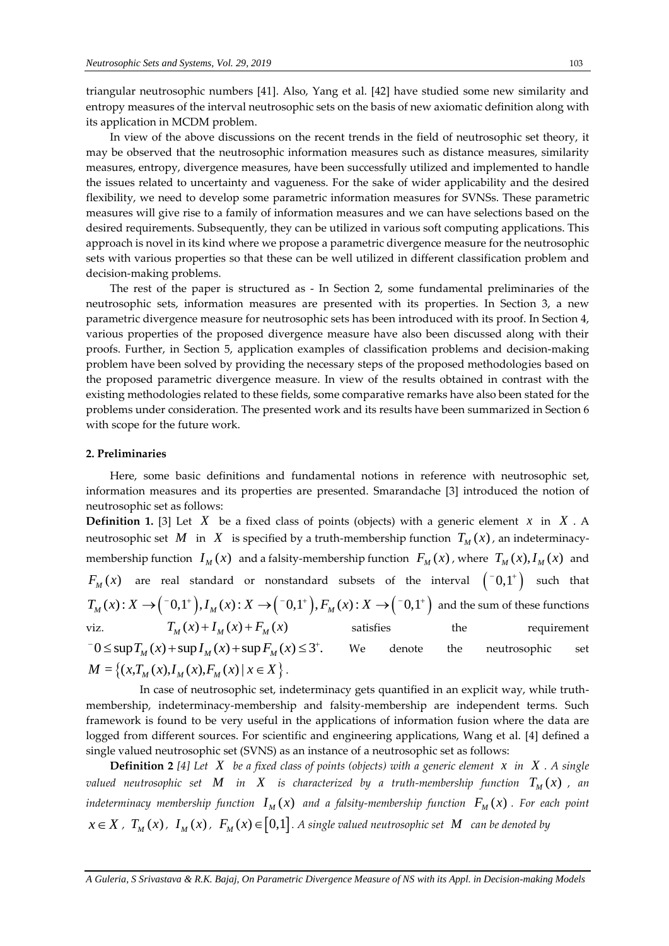triangular neutrosophic numbers [41]. Also, Yang et al. [42] have studied some new similarity and entropy measures of the interval neutrosophic sets on the basis of new axiomatic definition along with its application in MCDM problem.

In view of the above discussions on the recent trends in the field of neutrosophic set theory, it may be observed that the neutrosophic information measures such as distance measures, similarity measures, entropy, divergence measures, have been successfully utilized and implemented to handle the issues related to uncertainty and vagueness. For the sake of wider applicability and the desired flexibility, we need to develop some parametric information measures for SVNSs. These parametric measures will give rise to a family of information measures and we can have selections based on the desired requirements. Subsequently, they can be utilized in various soft computing applications. This approach is novel in its kind where we propose a parametric divergence measure for the neutrosophic sets with various properties so that these can be well utilized in different classification problem and decision-making problems.

The rest of the paper is structured as - In Section 2, some fundamental preliminaries of the neutrosophic sets, information measures are presented with its properties. In Section 3, a new parametric divergence measure for neutrosophic sets has been introduced with its proof. In Section 4, various properties of the proposed divergence measure have also been discussed along with their proofs. Further, in Section 5, application examples of classification problems and decision-making problem have been solved by providing the necessary steps of the proposed methodologies based on the proposed parametric divergence measure. In view of the results obtained in contrast with the existing methodologies related to these fields, some comparative remarks have also been stated for the problems under consideration. The presented work and its results have been summarized in Section 6 with scope for the future work.

### **2. Preliminaries**

Here, some basic definitions and fundamental notions in reference with neutrosophic set, information measures and its properties are presented. Smarandache [3] introduced the notion of neutrosophic set as follows:

**Definition 1.** [3] Let  $X$  be a fixed class of points (objects) with a generic element  $x$  in  $X$ . A neutrosophic set  $M$  in  $X$  is specified by a truth-membership function  $T_M(x)$ , an indeterminacymembership function  $I_M(x)$  and a falsity-membership function  $F_M(x)$ , where  $T_M(x)$ ,  $I_M(x)$  and  $F_{_M}(x)$  are real standard or nonstandard subsets of the interval  $\begin{pmatrix} -0,1^+ \end{pmatrix}$  such that *T<sub>M</sub>*(*x*) are real standard or nonstandard subsets of the interval  ${\binom{-0,1^+}{M}}$  such that  $T_M(x): X \to {\binom{-0,1^+}{M}}$ ,  $I_M(x): X \to {\binom{-0,1^+}{M}}$ ,  $F_M(x): X \to {\binom{-0,1^+}{M}}$  and the sum of these functions viz.  $T_{M}(x) + I_{M}(x) + F_{M}(x)$ satisfies the requirement viz.  $T_M(x) + I_M(x) + F_M(x)$ <br>  $T_0 \le \sup T_M(x) + \sup I_M(x) + \sup F_M(x) \le 3^+$ . We denote the neutrosophic set  $M = \{(x, T_M(x), I_M(x), F_M(x) \mid x \in X\}.$ 

 In case of neutrosophic set, indeterminacy gets quantified in an explicit way, while truthmembership, indeterminacy-membership and falsity-membership are independent terms. Such framework is found to be very useful in the applications of information fusion where the data are logged from different sources. For scientific and engineering applications, Wang et al. [4] defined a single valued neutrosophic set (SVNS) as an instance of a neutrosophic set as follows:

**Definition 2** [4] Let  $X$  be a fixed class of points (objects) with a generic element  $x$  in  $X$ . A single  $\sigma$  *valued neutrosophic set*  $M$  *in*  $X$  *is characterized by a truth-membership function*  $T_M(x)$  *, an* indeterminacy membership function  $I_M(x)$  and a falsity-membership function  $F_M(x)$  . For each point  $x \in X$  *,*  $T_M(x)$  ,  $I_M(x)$  ,  $F_M(x) \in [0,1]$  . A single valued neutrosophic set  $M$  can be denoted by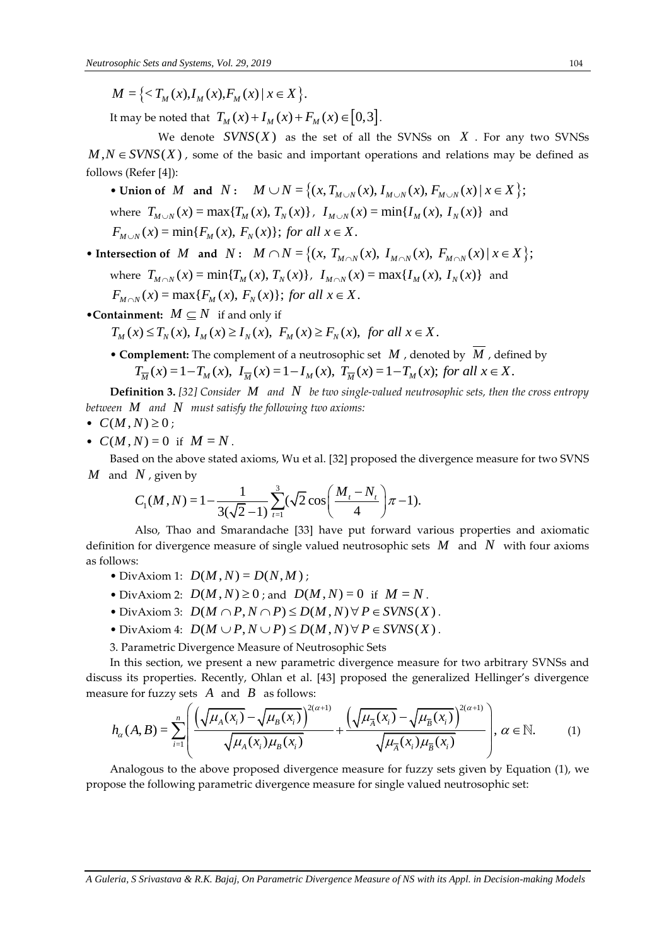$M = \{ \langle T_M(x), I_M(x), F_M(x) | x \in X \}$ .

It may be noted that  $T_M(x) + I_M(x) + F_M(x) \in [0,3]$ .

We denote  $SVNS(X)$  as the set of all the SVNSs on  $X$ . For any two SVNSs  $M, N \in SVNS(X)$ , some of the basic and important operations and relations may be defined as follows (Refer [4]): **v**  $\in$  *SVNS*(*X*), some of the basic and important operations and relations may be c<br> **ws** (Refer [4]):<br> **• Union of** *M* and *N*:  $M \cup N = \{(x, T_{M \cup N}(x), I_{M \cup N}(x), F_{M \cup N}(x) | x \in X\};$ 

where  $T_{M\cup N}(x) = \max\{T_M(x), T_N(x)\}$ ,  $T_{M\cup N}(x) = \min\{T_M(x), T_N(x)\}$  and  $F_{M\cup N}(x) = \min\{F_M(x), F_N(x)\}$ ; for all  $x \in X$ .  $F_{M\cup N}(x) = \min\{F_M(x), F_N(x)\};$  for all  $x \in X$ .<br>
• Intersection of *M* and *N*:  $M \cap N = \{(x, T_{M\cap N}(x), I_{M\cap N}(x), F_{M\cap N}(x) | x \in X\};$ 

where 
$$
T_{M \cap N}(x) = \min\{T_M(x), T_N(x)\}, I_{M \cap N}(x) = \max\{I_M(x), I_N(x)\}\
$$
 and

where  $T_{M \cap N}(x) = \min\{T_M(x), T_N(x)\},\ I_{M \cap N}(x)$ <br> $F_{M \cap N}(x) = \max\{F_M(x), F_N(x)\};$  for all  $x \in X$ .

• Containment:  $M \subseteq N$  if and only if

$$
F_{M \cap N}(x) = \max\{F_M(x), F_N(x)\}; \text{ for all } x \in X.
$$
  
**stationment:**  $M \subseteq N$  if and only if  
 $T_M(x) \le T_N(x), I_M(x) \ge I_N(x), F_M(x) \ge F_N(x), \text{ for all } x \in X.$ 

• **Complement:** The complement of a neutrosophic set  $M$ , denoted by  $M$ , defined by  $f(x) \le T_N(x)$ ,  $I_M(x) \ge I_N(x)$ ,  $F_M(x) \ge F_N(x)$ , for all  $x \in X$ .<br> **mplement:** The complement of a neutrosophic set  $M$ , denoted by  $\overline{M}$ , defined by  $T_{\overline{M}}(x) = 1 - T_M(x)$ ,  $I_M(x) = 1 - I_M(x)$ ,  $T_{\overline{M}}(x) = 1 - T_M(x)$ ; for all  $x \in X$ 

**Definition 3.** [32] *Consider*  $M$  and  $N$  be two single-valued neutrosophic sets, then the cross entropy *between M and N must satisfy the following two axioms:*

$$
\bullet \ \ C(M,N) \geq 0 \ ;
$$

•  $C(M, N) = 0$  if  $M = N$ .

Based on the above stated axioms, Wu et al. [32] proposed the divergence measure for two SVNS and *N*, given by<br>  $C_1(M, N) = 1 - \frac{1}{3(\sqrt{2} - 1)} \sum_{i=1}^3 (\sqrt{2} \cos\left(\frac{M_i - N_i}{4}\right) \pi - 1).$ *M* and *N* , given by

*N*, given by  

$$
C_1(M, N) = 1 - \frac{1}{3(\sqrt{2} - 1)} \sum_{t=1}^{3} (\sqrt{2} \cos{\left(\frac{M_t - N_t}{4}\right)} \pi - 1).
$$

 Also, Thao and Smarandache [33] have put forward various properties and axiomatic definition for divergence measure of single valued neutrosophic sets *M* and *N* with four axioms as follows:

- DivAxiom 1:  $D(M, N) = D(N, M)$ ;
- DivAxiom 2:  $D(M, N) \ge 0$ ; and  $D(M, N) = 0$  if  $M = N$ .
- DivAxiom 2:  $D(M, N) \ge 0$ ; and  $D(M, N) = 0$  if  $M = N$ .<br>• DivAxiom 3:  $D(M \cap P, N \cap P) \le D(M, N) \forall P \in SVNS(X)$ .  $D(M \cap P, N \cap P) \le D(M, N) \forall P \in SVNS(X)$ .<br>  $D(M \cup P, N \cup P) \le D(M, N) \forall P \in SVNS(X)$ .
- DivAxiom 4:  $D(M \cup P, N \cup P) \leq D(M, N) \forall P \in SVNS(X)$ .
- 3. Parametric Divergence Measure of Neutrosophic Sets

In this section, we present a new parametric divergence measure for two arbitrary SVNSs and<br>
use its properties. Recently, Ohlan et al. [43] proposed the generalized Hellinger's divergence<br>
ure for fuzzy sets A and B as f discuss its properties. Recently, Ohlan et al. [43] proposed the generalized Hellinger's divergence measure for fuzzy sets A and B as follows:<br>  $\left(\left(\frac{U(x)}{U(x)} - \frac{U(x)}{U(x)}\right)^{2(\alpha+1)}\right)$ measure for fuzzy sets  $\overline{A}$  and  $\overline{B}$  as follows: then a flew parametric divergence measure for<br>
only, Ohlan et al. [43] proposed the generalistical and B as follows:<br>  $\frac{\overline{(x_i)} - \sqrt{\mu_B(x_i)}}{+\sqrt{\mu_A(x_i)} - \sqrt{\mu_B(x_i)}}$ Extra a new parametric divergence measure if the sense of the general divergence of the general divergence of the general divergence of the general divergence of  $\frac{x_i}{x_j} - \sqrt{\mu_B(x_i)}$  and  $\frac{(\sqrt{\mu_{\overline{A}}(x_i)} - \sqrt{\mu_{\overline{B}}(x_i)})$ [43] proposed the generalized Helling<br>  $\alpha$ <sup>+1)</sup>  $\left(\sqrt{\mu(x)} - \sqrt{\mu(x)}\right)^{2(\alpha+1)}$ 

In this section, we present a new parameteric divergence measure for two arbitrary SNNSs and  
is its properties. Recently, Ohlan et al. [43] proposed the generalized Hellinger's divergence  
ure for fuzzy sets *A* and *B* as follows:  

$$
h_{\alpha}(A, B) = \sum_{i=1}^{n} \left( \frac{\sqrt{\mu_A(x_i)} - \sqrt{\mu_B(x_i)}}{\sqrt{\mu_A(x_i)\mu_B(x_i)}} + \frac{\left(\sqrt{\mu_A(x_i)} - \sqrt{\mu_B(x_i)}\right)^{2(\alpha+1)}}{\sqrt{\mu_A(x_i)\mu_B(x_i)}} \right), \alpha \in \mathbb{N}.
$$
 (1)

Analogous to the above proposed divergence measure for fuzzy sets given by Equation (1), we propose the following parametric divergence measure for single valued neutrosophic set: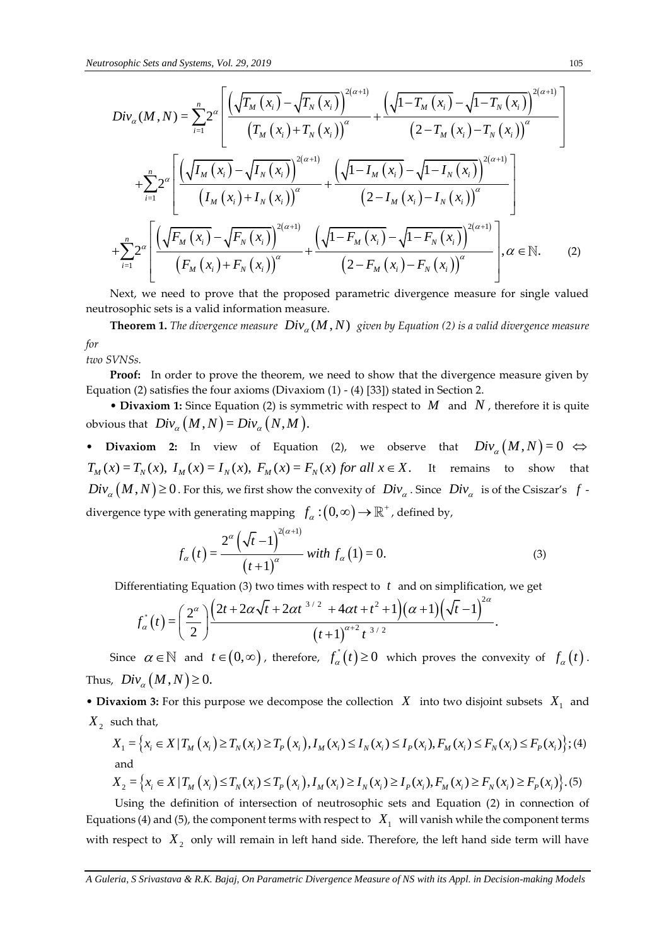Neutronscopic Sets and Systems, Vol. 29, 2019  
\n
$$
Div_{\phi}(M, N) = \sum_{i=1}^{n} 2^{\omega} \left[ \frac{\sqrt{T_M(x_i)} - \sqrt{T_K(x_i)}^{2(\alpha+1)}}{(T_M(x_i) + T_K(x_i))} + \frac{\sqrt{1 - T_M(x_i)} - \sqrt{1 - T_N(x_i)}^{2(\alpha+1)}}{(2 - T_M(x_i) - T_X(x_i))} \right]
$$
\n
$$
+ \sum_{i=1}^{n} 2^{\omega} \left[ \frac{\sqrt{\left(I_M(x_i) - \sqrt{I_N(x_i)}\right)}^{2(\alpha+1)}}{(I_M(x_i) + I_N(x_i))} + \frac{\sqrt{1 - I_M(x_i)} - \sqrt{1 - I_N(x_i)}^{2(\alpha+1)}}{(2 - I_M(x_i) - I_N(x_i))} \right]
$$
\n
$$
+ \sum_{i=1}^{n} 2^{\omega} \left[ \frac{\sqrt{\left(I_M(x_i) - \sqrt{I_N(x_i)}\right)}^{2(\alpha+1)}}{(I_M(x_i) + I_N(x_i))} + \frac{\sqrt{1 - I_M(x_i)} - \sqrt{1 - I_N(x_i)}^{2(\alpha+1)}}{(2 - I_M(x_i) - I_N(x_i))} \right]
$$
\n
$$
+ \sum_{i=1}^{n} 2^{\omega} \left[ \frac{\sqrt{\left(I_M(x_i) - \sqrt{I_N(x_i)}\right)}^{2(\alpha+1)}}{(I_M(x_i) + I_N(x_i))} + \frac{\sqrt{1 - I_M(x_i)} - \sqrt{1 - I_N(x_i)}^{2(\alpha+1)}}{(2 - I_M(x_i) - I_N(x_i))} \right]
$$
\n
$$
+ \omega(t, w) \text{ need to prove that } p_{\text{ive}}(M, N) = \omega(t)
$$
\n
$$
= \text{Theorem 1. The divergence measure,}
$$
\n
$$
= \text{Theorem 2. The given expression, we need to show that the divergence measure given by
$$
\n
$$
= \text{Theorem 3. The equation (2) is symmetric with respect to M and N, therefore it is quite obvious that 
$$
Div_{\omega}(M, N) = Div_{\omega}(N, M).
$$
\n
$$
+ \text{ Division 2: } U_N = U_N(X, E_M) = E_N(X) for all X ∈ X. It remains to show that 
$$
Div_{\omega}(M, N) = 0
$$
. 
$$
= \sum_{
$$
$$
$$

Next, we need to prove that the proposed parametric divergence measure for single valued neutrosophic sets is a valid information measure.

**Theorem 1.** The divergence measure  $Div_{\alpha}(M, N)$  given by Equation (2) is a valid divergence measure *for*

*two SVNSs.* 

**Proof:** In order to prove the theorem, we need to show that the divergence measure given by Equation (2) satisfies the four axioms (Divaxiom  $(1)$  -  $(4)$  [33]) stated in Section 2.

• **Divaxiom 1:** Since Equation (2) is symmetric with respect to  $M$  and  $N$ , therefore it is quite • **Divaxiom 1:** Since Equation (2) is symposition by Div $N_a(M, N) = Div_\alpha(N, M)$ .

• **Divaxiom 2:** In view of Equation (2), we observe that  $Div_{\alpha}(M, N) = 0 \Leftrightarrow$ • **Divaxiom 2:** In view of Equation (2), we observe that  $Div_{\alpha}(M, N) = 0 \Leftrightarrow$ <br>  $T_M(x) = T_N(x)$ ,  $I_M(x) = I_N(x)$ ,  $F_M(x) = F_N(x)$  for all  $x \in X$ . It remains to show that  $Div_\alpha(M, N) \ge 0$ . For this, we first show the convexity of  $Div_\alpha$ . Since  $Div_\alpha$  is of the Csiszar's f divergence type with generating mapping  $f_{\alpha} : (0, \infty) \to \mathbb{R}^+$ , defined by,<br> $\alpha^{\alpha} (f_{\alpha} \to \alpha)^{2(\alpha+1)}}$ 

$$
f_{\alpha}(t) = \frac{2^{\alpha} (\sqrt{t} - 1)^{2(\alpha + 1)}}{(t + 1)^{\alpha}} \text{ with } f_{\alpha}(1) = 0. \tag{3}
$$

\n
$$
(t+1)^T
$$
\n

\n\n Differentiating Equation (3) two times with respect to  $t$  and on simplification, we get\n  $f_\alpha^r(t) = \left( \frac{2^\alpha}{2} \right) \frac{\left( 2t + 2\alpha\sqrt{t} + 2\alpha t^{3/2} + 4\alpha t + t^2 + 1 \right) \left( \alpha + 1 \right) \left( \sqrt{t} - 1 \right)^{2\alpha}}{\left( t + 1 \right)^{\alpha + 2} t^{3/2}}.$ \n

Since  $\alpha \in \mathbb{N}$  and  $t \in (0,\infty)$ , therefore,  $f_{\alpha}^{(t)}(t) \ge 0$  which proves the convexity of  $f_{\alpha}(t)$ . Thus,  $Div_{\alpha}(M, N) \geq 0$ .

• Divaxiom 3: For this purpose we decompose the collection  $X$  into two disjoint subsets  $X_1$  and  $X_2$  such that, *X x X T x T x T x I x I x I x F x F x F x* <sup>1</sup> = | ( ) , ( ) ( ) ( ), ( ) ( ) ( ) ; *i M i N i P i M i N i P i M i N i P i* ( ) ( )

such that,  
\n
$$
X_{1} = \left\{ x_{i} \in X | T_{M}(x_{i}) \geq T_{N}(x_{i}) \geq T_{P}(x_{i}), I_{M}(x_{i}) \leq I_{N}(x_{i}) \leq I_{P}(x_{i}), F_{M}(x_{i}) \leq F_{N}(x_{i}) \leq F_{P}(x_{i}) \right\}; (4)
$$
\nand  
\n
$$
X_{2} = \left\{ x_{i} \in X | T_{M}(x_{i}) \leq T_{N}(x_{i}) \leq T_{P}(x_{i}), I_{M}(x_{i}) \geq I_{N}(x_{i}) \geq I_{P}(x_{i}), F_{M}(x_{i}) \geq F_{N}(x_{i}) \geq F_{P}(x_{i}) \right\}. (5)
$$
\nUsing the definition of integration of equations, the real function (2) is exponential.

Using the definition of intersection of neutrosophic sets and Equation (2) in connection of Equations (4) and (5), the component terms with respect to  $X_1$  will vanish while the component terms with respect to  $|X_2|$  only will remain in left hand side. Therefore, the left hand side term will have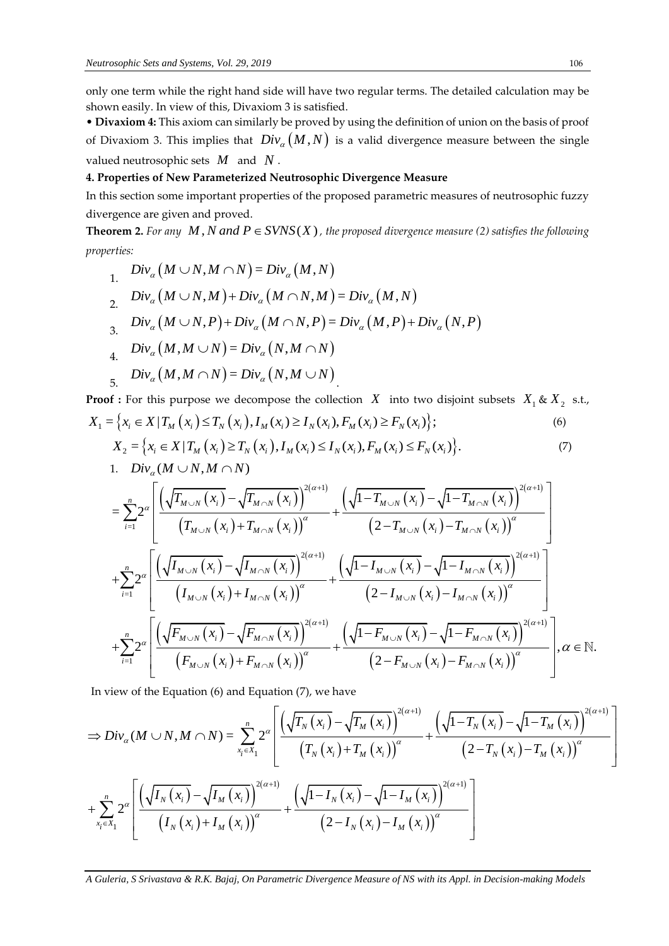only one term while the right hand side will have two regular terms. The detailed calculation may be shown easily. In view of this, Divaxiom 3 is satisfied.

• **Divaxiom 4:** This axiom can similarly be proved by using the definition of union on the basis of proof of Divaxiom 3. This implies that  $Div_\alpha(M,N)$  is a valid divergence measure between the single valued neutrosophic sets *M* and *N* .

# **4. Properties of New Parameterized Neutrosophic Divergence Measure**

In this section some important properties of the proposed parametric measures of neutrosophic fuzzy divergence are given and proved.

**Theorem 2.** For any  $M$ ,  $N$  and  $P \in SVNS(X)$ , the proposed divergence measure (2) satisfies the following *properties:* 

$$
\begin{aligned}\n\text{erties:} \\
&1. \quad \text{Div}_{\alpha} \big( M \cup N, M \cap N \big) = \text{Div}_{\alpha} \big( M, N \big) \\
&2. \quad \text{Div}_{\alpha} \big( M \cup N, M \big) + \text{Div}_{\alpha} \big( M \cap N, M \big) = \text{Div}_{\alpha} \big( M, N \big) \\
&3. \quad \text{Div}_{\alpha} \big( M \cup N, P \big) + \text{Div}_{\alpha} \big( M \cap N, P \big) = \text{Div}_{\alpha} \big( M, P \big) + \text{Div}_{\alpha} \big( N, P \big) \\
&4. \quad \text{Div}_{\alpha} \big( M, M \cup N \big) = \text{Div}_{\alpha} \big( N, M \cap N \big) \\
&5. \quad \text{Div}_{\alpha} \big( M, M \cap N \big) = \text{Div}_{\alpha} \big( N, M \cup N \big) \\
&6. \quad \text{For this, } \text{div}_{\alpha} \big( N, M \cap N \big) = \text{Div}_{\alpha} \big( N, M \cup N \big) \\
&7. \quad \text{div}_{\alpha} \big( N, M \cap N \big) = \text{Div}_{\alpha} \big( N, M \cap N \big) \\
&8. \quad \text{div}_{\alpha} \big( M, M \cap N \big) = \text{Div}_{\alpha} \big( N, M \cap N \big) \\
&9. \quad \text{div}_{\alpha} \big( M, M \cap N \big) = \text{Div}_{\alpha} \big( N, M \cap N \big) \\
&9. \quad \text{div}_{\alpha} \big( M, M \cap N \big) = \text{Div}_{\alpha} \big( M, M \cap N \big) \\
&9. \quad \text{div}_{\alpha} \big( M, M \cap N \big) = \text{Div}_{\alpha} \big( N, M \cap N \big) \\
&9. \quad \text{div}_{\alpha} \big( M, M \cap N \big) = \text{Div}_{\alpha} \big( N, M \cap N \big) \\
&9. \quad \text{div}_{\alpha} \big( M, M \cap N \big) = \text{Div}_{\alpha} \big( N, M \cap N \big) \\
&9. \quad \text{div}_{\alpha} \big( M, M \cap N \big) = \text{Div}_{\alpha} \big( N, M \cap N \big) \\
&9. \quad \text{div}_{\alpha
$$

**Proof :** For this purpose we decompose the collection  $X$  into two disjoint subsets  $X_1 \& X_2$  s.t., **Proof** : For this purpose we decompose the collection X into two disjoint subsets  $X_1 \& X_2$ <br>  $X_1 = \{x_i \in X | T_M(x_i) \le T_N(x_i), I_M(x_i) \ge I_N(x_i), F_M(x_i) \ge F_N(x_i)\};$  (6)

$$
X_{1} = \left\{ x_{i} \in X \mid T_{M}\left(x_{i}\right) \leq T_{N}\left(x_{i}\right), I_{M}\left(x_{i}\right) \geq I_{N}\left(x_{i}\right), F_{M}\left(x_{i}\right) \geq F_{N}\left(x_{i}\right) \right\};
$$
\n
$$
X_{2} = \left\{ x_{i} \in X \mid T_{M}\left(x_{i}\right) \geq T_{N}\left(x_{i}\right), I_{M}\left(x_{i}\right) \leq I_{N}\left(x_{i}\right), F_{M}\left(x_{i}\right) \leq F_{N}\left(x_{i}\right) \right\}. \tag{7}
$$

1. 
$$
Div_{\alpha}(M \cup N, M \cap N)
$$
  
\n
$$
\left[ \left( \frac{\pi}{T} \left( \frac{x}{r} \right) \frac{\pi}{T} \left( \frac{x}{r} \right) \right)^{2(\alpha+1)} \left( \frac{\pi}{T} \left( \frac{x}{r} \right) \frac{\pi}{T} \left( \frac{x}{r} \right) \right)^{2(\alpha+1)} \right]
$$

$$
X_{2} = \left\{ x_{i} \in X | T_{M}(x_{i}) \ge T_{N}(x_{i}), I_{M}(x_{i}) \le I_{N}(x_{i}), F_{M}(x_{i}) \le F_{N}(x_{i}) \right\}. \tag{7}
$$
\n
$$
1. \quad Diiv_{\alpha}(M \cup N, M \cap N)
$$
\n
$$
= \sum_{i=1}^{n} 2^{\alpha} \left[ \frac{\left(\sqrt{T_{M \cup N}(x_{i})} - \sqrt{T_{M \cap N}(x_{i})}\right)^{2(\alpha+1)}}{\left(T_{M \cup N}(x_{i}) + T_{M \cap N}(x_{i})\right)^{\alpha}} + \frac{\left(\sqrt{1 - T_{M \cap N}(x_{i})} - \sqrt{1 - T_{M \cap N}(x_{i})}\right)^{2(\alpha+1)}}{\left(2 - T_{M \cup N}(x_{i}) - T_{M \cap N}(x_{i})\right)^{\alpha}} \right]
$$
\n
$$
+ \sum_{i=1}^{n} 2^{\alpha} \left[ \frac{\left(\sqrt{I_{M \cup N}(x_{i})} - \sqrt{I_{M \cap N}(x_{i})}\right)^{2(\alpha+1)}}{\left(I_{M \cup N}(x_{i}) + I_{M \cap N}(x_{i})\right)^{\alpha}} + \frac{\left(\sqrt{1 - I_{M \cap N}(x_{i})} - \sqrt{1 - I_{M \cap N}(x_{i})}\right)^{2(\alpha+1)}}{\left(2 - I_{M \cup N}(x_{i}) - I_{M \cap N}(x_{i})\right)^{\alpha}} \right]
$$
\n
$$
+ \sum_{i=1}^{n} 2^{\alpha} \left[ \frac{\left(\sqrt{F_{M \cup N}(x_{i})} - \sqrt{F_{M \cap N}(x_{i})}\right)^{2(\alpha+1)}}{\left(F_{M \cup N}(x_{i}) + F_{M \cap N}(x_{i})\right)^{\alpha}} + \frac{\left(\sqrt{1 - F_{M \cup N}(x_{i})} - \sqrt{1 - F_{M \cap N}(x_{i})}\right)^{2(\alpha+1)}}{\left(2 - F_{M \cup N}(x_{i}) - F_{M \cap N}(x_{i})\right)^{\alpha}} \right], \alpha \in \mathbb{N}.
$$
\n
$$
P_{N} \left\{ \left\{ \left(\sqrt{F_{M \cup N}(x_{i})} - \sqrt{F_{M \cap N}(x_{i})}\right)^{\alpha} - \left(\sqrt{1 - F_{M \
$$

In view of the Equation (6) and Equation (7), we have

$$
\begin{aligned}\n&\text{In view of the Equation (6) and Equation (7), we have} \\
&\text{In view of the Equation (6) and Equation (7), we have} \\
&\Rightarrow Div_{\alpha}(M \cup N, M \cap N) = \sum_{x_i \in X_1}^{n} 2^{\alpha} \left[ \frac{\left(\sqrt{T_N(x_i)} - \sqrt{T_M(x_i)}\right)^{2(\alpha+1)}}{\left(T_N(x_i) + T_M(x_i)\right)^{\alpha}} + \frac{\left(\sqrt{1 - T_N(x_i)} - \sqrt{1 - T_M(x_i)}\right)^{2(\alpha+1)}}{\left(2 - T_N(x_i) - T_M(x_i)\right)^{\alpha}} \right] \\
&\quad + \sum_{x_i \in X_1}^{n} 2^{\alpha} \left[ \frac{\left(\sqrt{I_N(x_i)} - \sqrt{I_M(x_i)}\right)^{2(\alpha+1)}}{\left(I_N(x_i) + I_M(x_i)\right)^{\alpha}} + \frac{\left(\sqrt{1 - I_N(x_i)} - \sqrt{1 - I_M(x_i)}\right)^{2(\alpha+1)}}{\left(2 - I_N(x_i) - I_M(x_i)\right)^{\alpha}} \right]\n\end{aligned}
$$

*A Guleria, S Srivastava & R.K. Bajaj, On Parametric Divergence Measure of NS with its Appl. in Decision-making Models*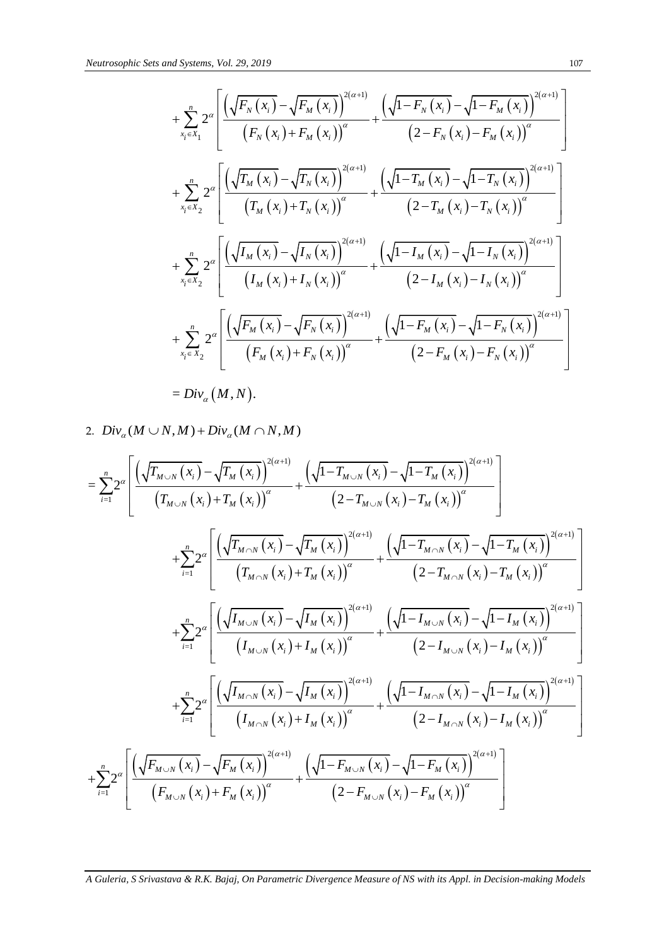and Systems, Vol. 29, 2019  
\n
$$
+ \sum_{x_i \in X_1}^{n} 2^{\alpha} \left[ \frac{\left(\sqrt{F_N(x_i)} - \sqrt{F_M(x_i)}\right)^{2(\alpha+1)}}{\left(F_N(x_i) + F_M(x_i)\right)^{\alpha}} + \frac{\left(\sqrt{1 - F_N(x_i)} - \sqrt{1 - F_M(x_i)}\right)^{2(\alpha+1)}}{\left(2 - F_N(x_i) - F_M(x_i)\right)^{\alpha}} \right] + \sum_{x_i \in X_2}^{n} 2^{\alpha} \left[ \frac{\left(\sqrt{T_M(x_i)} - \sqrt{T_N(x_i)}\right)^{2(\alpha+1)}}{\left(T_M(x_i) + T_N(x_i)\right)^{\alpha}} + \frac{\left(\sqrt{1 - T_M(x_i)} - \sqrt{1 - T_N(x_i)}\right)^{2(\alpha+1)}}{\left(2 - T_M(x_i) - T_N(x_i)\right)^{\alpha}} \right] + \sum_{x_i \in X_2}^{n} 2^{\alpha} \left[ \frac{\left(\sqrt{T_M(x_i)} - \sqrt{I_N(x_i)}\right)^{2(\alpha+1)}}{\left(I_M(x_i) + I_N(x_i)\right)^{\alpha}} + \frac{\left(\sqrt{1 - I_M(x_i)} - \sqrt{1 - I_N(x_i)}\right)^{2(\alpha+1)}}{\left(2 - I_M(x_i) - I_N(x_i)\right)^{\alpha}} \right] + \sum_{x_i \in X_2}^{n} 2^{\alpha} \left[ \frac{\left(\sqrt{F_M(x_i)} - \sqrt{F_N(x_i)}\right)^{2(\alpha+1)}}{\left(F_M(x_i) + F_N(x_i)\right)^{\alpha}} + \frac{\left(\sqrt{1 - F_M(x_i)} - \sqrt{1 - F_N(x_i)}\right)^{2(\alpha+1)}}{\left(2 - F_M(x_i) - F_N(x_i)\right)^{\alpha}} \right] + \sum_{x_i \in X_2}^{n} 2^{\alpha} \left[ \frac{\left(\sqrt{F_M(x_i)} - \sqrt{F_N(x_i)}\right)^{2(\alpha+1)}}{\left(F_M(x_i) + F_N(x_i)\right)^{\alpha}} + \frac{\left(\sqrt{1 - F_M(x_i)} - \sqrt{1 - F_N(x_i)}\right)^{2(\alpha+1)}}{\left(2 - F_M(x_i) - F_N(x_i)\right)^{\alpha}} \right]
$$

$$
+\sum_{n=N_1}^{n} 2^{n} \left[ \frac{\sqrt{F_N(x_i)} - \sqrt{F_N(x_i)}}{(F_N(x_i) + F_N(x_i))^{\alpha}} + \frac{\sqrt{1 - F_N(x_i) - 4[-F_N(x_i)]^{\alpha}}}{(2 - F_N(x_i) - F_N(x_i))^{\alpha}} \right] + \sum_{n=N_2}^{n} 2^{n} \left[ \frac{\sqrt{F_N(x_i)} - \sqrt{T_N(x_i)}}{(T_N(x_i) + T_N(x_i))^{\alpha}} + \frac{\sqrt{1 - T_N(x_i) - \sqrt{1 - T_N(x_i)}}^{\alpha} \right]^{2(\alpha+1)}}{(2 - T_N(x_i) - T_N(x_i))^{\alpha}} \right] + \sum_{n=N_2}^{n} 2^{n} \left[ \frac{\sqrt{F_N(x_i)} - \sqrt{F_N(x_i)}}{(T_N(x_i) + T_N(x_i))^{\alpha}} + \frac{\sqrt{1 - I_N(x_i) - \sqrt{1 - I_N(x_i)}}^{\alpha} \right]^{2(\alpha+1)}}{(2 - I_N(x_i) - I_N(x_i))^{\alpha}} \right] + \sum_{n=N_2}^{n} 2^{n} \left[ \frac{\sqrt{F_N(x_i)} - \sqrt{F_N(x_i)}}{(F_N(x_i) + F_N(x_i))^{\alpha}} + \frac{\sqrt{1 - F_N(x_i) - \sqrt{1 - F_N(x_i)}}^{\alpha} \right]^{2(\alpha+1)}}{(2 - F_N(x_i) - F_N(x_i))^{\alpha}} \right] = Div_n(M, N).
$$
  
2.  $Div_n(M \cup N, M) + Div_n(M \cap N, M)$   

$$
= \sum_{n=1}^{n} 2^{n} \left[ \frac{\sqrt{F_{M \cap N}(x_i)} - \sqrt{T_{M \cap N}(x_i)}}{T_{M \cap N}(x_i)^{\alpha}} + \frac{\sqrt{1 - T_{M \cap N}(x_i)} - \sqrt{1 - T_{M \cap N}(x_i)}}{2 - T_{M \cap N}(x_i)^{\alpha}} \right] + \sum_{n=1}^{n} 2^{n} \left[ \frac{\sqrt{F_{M \cap N}(x_i)} - \sqrt{T_{M \cap N}(x_i)}}{T_{M \cap N}(x_i)^{\alpha}} + \frac{\sqrt{1 - T_{M \cap N}(x_i)} - \sqrt{T_{M \cap N}(x_i)^{\alpha}}}{2 - T_{M \cap N}(x_i)^{\alpha}} \right]^{2(\alpha+1)}
$$
  
+ 
$$
\sum_{n=1}^{n} 2^{n} \left[ \frac{\sqrt{(F_{M
$$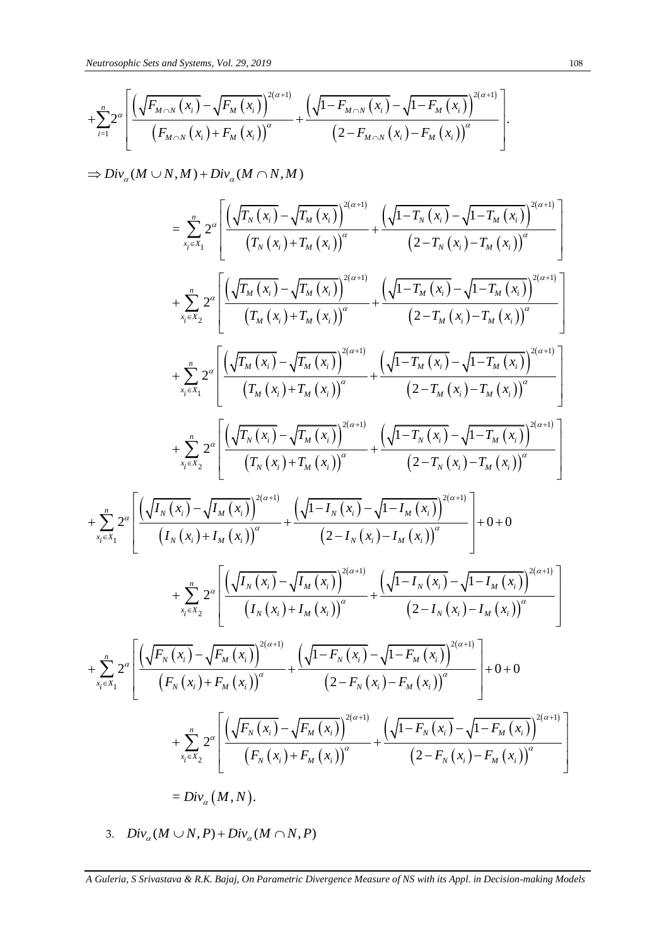*Neutrosophic Sets and Systems, Vol. 29, 2019*  
 
$$
+ \sum_{i=1}^{n} 2^{\alpha} \left[ \frac{\left(\sqrt{F_{M \cap N}(x_i)} - \sqrt{F_M(x_i)}\right)^{2(\alpha+1)}}{\left(F_{M \cap N}(x_i) + F_M(x_i)\right)^{\alpha}} + \frac{\left(\sqrt{1 - F_{M \cap N}(x_i)} - \sqrt{1 - F_M(x_i)}\right)^{2(\alpha+1)}}{\left(2 - F_{M \cap N}(x_i) - F_M(x_i)\right)^{\alpha}} \right].
$$

 $\Rightarrow Div_{\alpha}(M\cup N,M)+Div_{\alpha}(M\cap N,M)$ 

+ 
$$
\sum_{i=1}^{x} 2^{i\sigma} \left[ \frac{\sqrt{F_{M \cap N}(x_{i})} - \sqrt{F_{M}(x_{i})}}{(F_{M \cap N}(x_{i}) + F_{M}(x_{i}))^{a}} + \frac{\sqrt{1 - F_{M \cap N}(x_{i})} - \sqrt{1 - F_{M}(x_{i})}}{(2 - F_{M \cap N}(x_{i}) - F_{M}(x_{i}))^{a}} \right]
$$
\n
$$
\Rightarrow Div_{a}(M \cup N, M) + Div_{a}(M \cap N, M)
$$
\n
$$
= \sum_{i=1}^{x} 2^{i\sigma} \left[ \frac{\sqrt{\frac{F_{M}(x_{i})}{F_{M}(x_{i})} - \sqrt{\frac{F_{M}(x_{i})}{F_{M}(x_{i})}}}}{(T_{N}(x_{i}) + T_{M}(x_{i}))^{a}} + \frac{\sqrt{1 - T_{N}(x_{i})} - \sqrt{1 - T_{M}(x_{i})}}{(2 - T_{N}(x_{i}) - T_{M}(x_{i}))^{a}} \right]
$$
\n
$$
+ \sum_{i=1}^{x} 2^{i\sigma} \left[ \frac{\sqrt{\frac{F_{M}(x_{i})}{F_{M}(x_{i})} - \sqrt{\frac{F_{M}(x_{i})}{F_{M}(x_{i})}}}}{(T_{M}(x_{i}) + T_{M}(x_{i}))^{a}} + \frac{\sqrt{1 - T_{M}(x_{i})} - \sqrt{1 - T_{M}(x_{i})}}{(2 - T_{M}(x_{i}) - T_{M}(x_{i}))^{a}} \right]
$$
\n
$$
+ \sum_{i=1}^{x} 2^{i\sigma} \left[ \frac{\sqrt{\frac{F_{M}(x_{i})}{F_{M}(x_{i})} - \sqrt{\frac{F_{M}(x_{i})}{F_{M}(x_{i})}}}{(T_{M}(x_{i}) + T_{M}(x_{i}))^{a}} + \frac{\sqrt{1 - T_{M}(x_{i})} - \sqrt{1 - T_{M}(x_{i})}}{2 - T_{M}(x_{i}) - T_{M}(x_{i})} \right]^{2(a+i)}} + \frac{\sqrt{1 - T_{M}(x_{i})} - \sqrt{1 - T_{M}(x_{i})}}{2 - T_{M}(x_{i}) - T_{M}(x_{i})} \right]
$$
\n
$$
+ \sum_{i=1}^{x} 2^{a} \left[ \frac{\sqrt{\frac{F_{M}(x_{i})}{F_{M}(x_{i})
$$

3.  $Div_{\alpha}(M \cup N, P) + Div_{\alpha}(M \cap N, P)$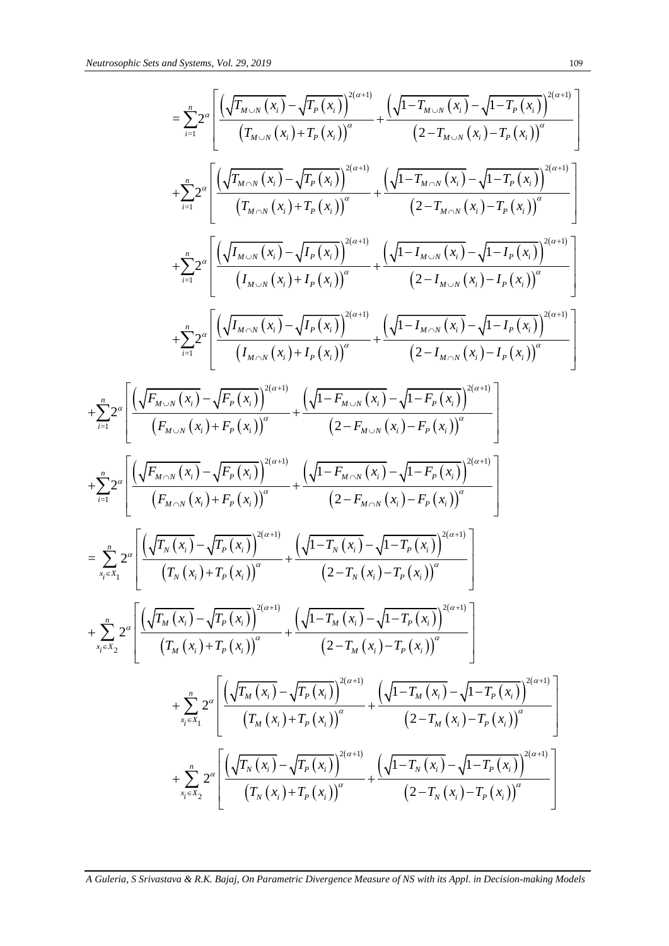Neutrosophic Sets and Systems. Vol. 29, 2019  
\n
$$
= \sum_{i=1}^{n} 2^{a} \left[ \frac{\left(\sqrt{F_{M \sim N} \left(x_{i}\right)} - \sqrt{F_{P} \left(x_{i}\right)}\right)^{2(\alpha+1)}}{\left(T_{M \sim N} \left(x_{i}\right) + T_{P} \left(x_{i}\right)\right)^{2(\alpha+1)}} + \frac{\left(\sqrt{1 - T_{M \sim N} \left(x_{i}\right)} - \sqrt{1 - T_{P} \left(x_{i}\right)}\right)^{2(\alpha+1)}}{\left(2 - T_{M \sim N} \left(x_{i}\right) - \sqrt{1 - T_{P} \left(x_{i}\right)}\right)^{2(\alpha+1)}} \right]
$$
\n
$$
+ \sum_{i=1}^{n} 2^{a} \left[ \frac{\left(\sqrt{F_{M \sim N} \left(x_{i}\right)} - \sqrt{T_{P} \left(x_{i}\right)}\right)^{2(\alpha+1)}}{\left(T_{M \sim N} \left(x_{i}\right) + T_{P} \left(x_{i}\right)\right)^{\alpha}} + \frac{\left(\sqrt{1 - T_{M \sim N} \left(x_{i}\right)} - \sqrt{1 - T_{P} \left(x_{i}\right)}\right)^{2(\alpha+1)}}{\left(2 - T_{M \sim N} \left(x_{i}\right) - T_{P} \left(x_{i}\right)\right)^{\alpha}} \right]
$$
\n
$$
+ \sum_{i=1}^{n} 2^{a} \left[ \frac{\left(\sqrt{f_{M \sim N} \left(x_{i}\right)} - \sqrt{I_{P} \left(x_{i}\right)}\right)^{2(\alpha+1)}}{\left(I_{M \sim N} \left(x_{i}\right) + I_{P} \left(x_{i}\right)\right)^{\alpha}} + \frac{\left(\sqrt{1 - I_{M \sim N} \left(x_{i}\right)} - \sqrt{1 - I_{P} \left(x_{i}\right)}\right)^{2(\alpha+1)}}{\left(2 - I_{M \sim N} \left(x_{i}\right) - I_{P} \left(x_{i}\right)\right)^{\alpha}} \right]
$$
\n
$$
+ \sum_{i=1}^{n} 2^{a} \left[ \frac{\left(\sqrt{f_{M \sim N} \left(x_{i}\right)} - \sqrt{F_{P} \left(x_{i}\right)}\right)^{2(\alpha+1)}}{\left(I_{M \sim N} \left(x_{i}\right) + I_{P} \left(x_{i}\right)\right)^{\alpha}} + \frac{\left(\
$$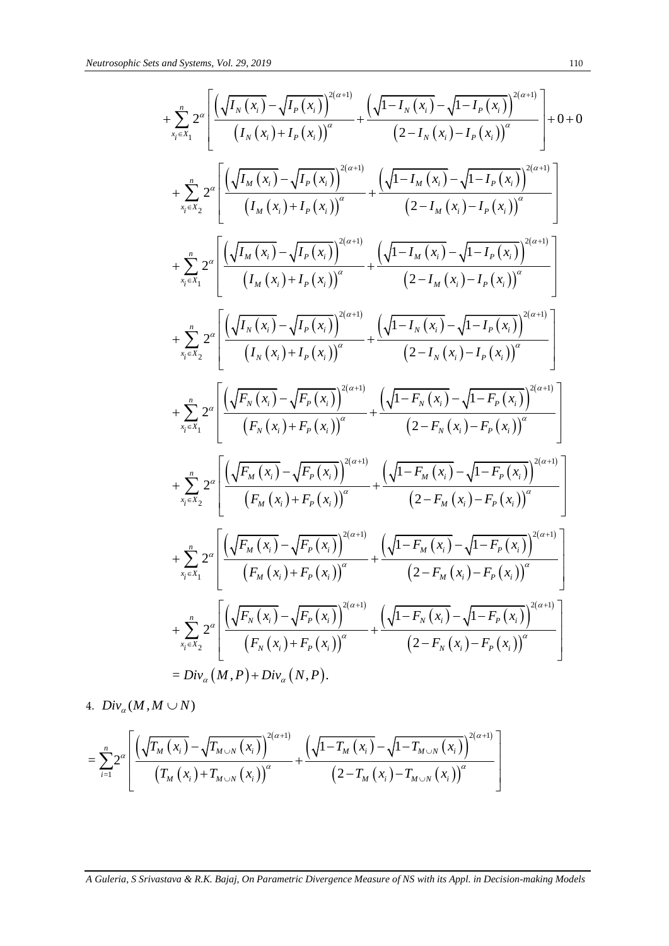s and Systems, Vol. 29, 2019  
\n
$$
+ \sum_{x_i \in X_1}^{n} 2^a \left[ \frac{\left(\sqrt{I_N(x_i)} - \sqrt{I_P(x_i)}\right)^{2(a+i)}}{\left(I_N(x_i) + I_P(x_i)\right)^a} + \frac{\left(\sqrt{1 - I_N(x_i)} - \sqrt{1 - I_P(x_i)}\right)^{2(a+i)}}{\left(2 - I_N(x_i) - I_P(x_i)\right)^a}\right] + 0 + 0
$$
\n
$$
+ \sum_{x_i \in X_2}^{n} 2^a \left[ \frac{\left(\sqrt{I_N(x_i)} - \sqrt{I_P(x_i)}\right)^{2(a+i)}}{\left(I_M(x_i) + I_P(x_i)\right)^a} + \frac{\left(\sqrt{1 - I_N(x_i)} - \sqrt{1 - I_P(x_i)}\right)^{2(a+i)}}{\left(2 - I_M(x_i) - I_P(x_i)\right)^a}\right]
$$
\n
$$
+ \sum_{x_i \in X_2}^{n} 2^a \left[ \frac{\left(\sqrt{I_M(x_i)} - \sqrt{I_P(x_i)}\right)^{2(a+i)}}{\left(I_M(x_i) + I_P(x_i)\right)^a} + \frac{\left(\sqrt{1 - I_M(x_i)} - \sqrt{1 - I_P(x_i)}\right)^{2(a+i)}}{\left(2 - I_M(x_i) - I_P(x_i)\right)^a}\right]
$$
\n
$$
+ \sum_{x_i \in X_2}^{n} 2^a \left[ \frac{\left(\sqrt{I_N(x_i)} - \sqrt{I_P(x_i)}\right)^{2(a+i)}}{\left(I_N(x_i) + I_P(x_i)\right)^a} + \frac{\left(\sqrt{1 - I_N(x_i)} - \sqrt{1 - I_P(x_i)}\right)^{2(a+i)}}{\left(2 - I_N(x_i) - I_P(x_i)\right)^a}\right]
$$
\n
$$
+ \sum_{x_i \in X_2}^{n} 2^a \left[ \frac{\left(\sqrt{F_N(x_i)} - \sqrt{F_P(x_i)}\right)^{2(a+i)}}{\left(F_N(x_i) + F_P(x_i)\right)^a} + \frac{\left(\sqrt{1 - F_N(x_i)} - \sqrt{1 - F_P(x_i)}\right)^{2(a+i)}}{\left(2 - F_N(x_i) - F_P(x_i)\right)^a}\right]
$$
\n
$$
+ \sum_{x_i \in X_2}^{n} 2^a \left[ \frac{\left(\sqrt{F_N(x_i)} - \sqrt{F_P(x_i)}\right)^{2(a+i)}}{\left(F_N(x_i) + F_P(x_i)\right)^a} +
$$

4.  $Div_{\alpha}(M, M \cup N)$ 

4. 
$$
Div_{\alpha}(M, M \cup N)
$$
  
=  $\sum_{i=1}^{n} 2^{\alpha} \left[ \frac{\left(\sqrt{T_{M}(x_{i})} - \sqrt{T_{M \cup N}(x_{i})}\right)^{2(\alpha+1)}}{\left(T_{M}(x_{i}) + T_{M \cup N}(x_{i})\right)^{\alpha}} + \frac{\left(\sqrt{1 - T_{M}(x_{i})} - \sqrt{1 - T_{M \cup N}(x_{i})}\right)^{2(\alpha+1)}}{\left(2 - T_{M}(x_{i}) - T_{M \cup N}(x_{i})\right)^{\alpha}} \right]$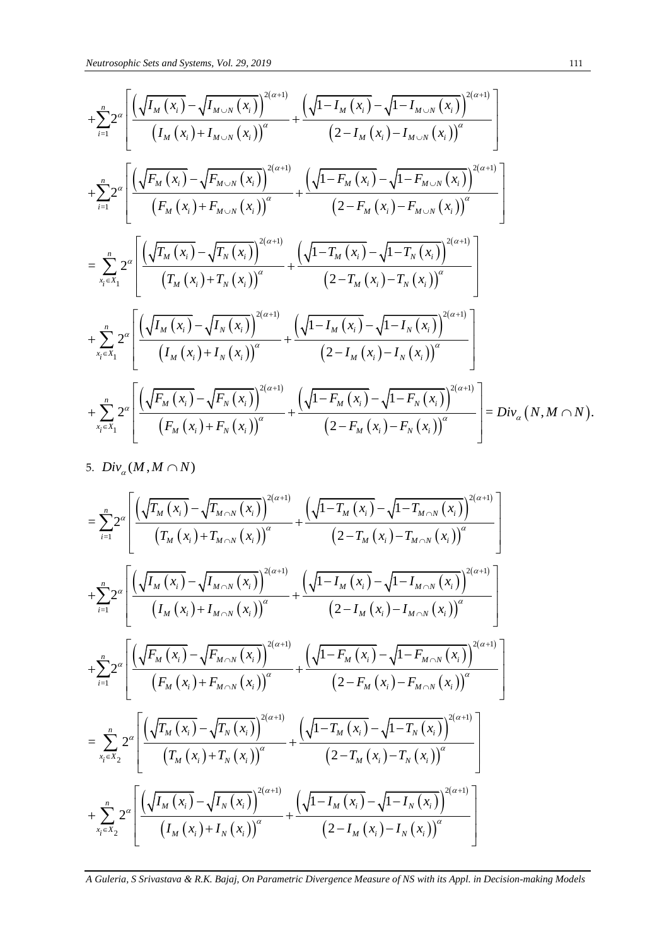$$
N_{Bd(10000000})i. See and Systems, Vol. 29, 2019
$$
\n
$$
+ \sum_{i=1}^{n} 2^{i} \left[ \frac{\left(\sqrt{I_{M}\left(x_{i}\right)} - \sqrt{I_{M\sim N}\left(x_{i}\right)}\right)^{2(\alpha+1)}}{\left(I_{M}\left(x_{i}\right) + I_{M\sim N}\left(x_{i}\right)\right)^{2} } + \frac{\left(\sqrt{1 - I_{M}\left(x_{i}\right)} - \sqrt{1 - I_{M\sim N}\left(x_{i}\right)}\right)^{2(\alpha+1)}}{\left(2 - I_{M}\left(x_{i}\right) - \sqrt{I_{M\sim N}\left(x_{i}\right)}\right)^{2} } \right]
$$
\n
$$
+ \sum_{i=1}^{n} 2^{i} \left[ \frac{\left(\sqrt{F_{M}\left(x_{i}\right)} - \sqrt{F_{M\sim N}\left(x_{i}\right)}\right)^{2(\alpha+1)}}{\left(F_{M}\left(x_{i}\right) + F_{M\sim N}\left(x_{i}\right)\right)^{\alpha}} + \frac{\left(\sqrt{1 - F_{M}\left(x_{i}\right)} - \sqrt{1 - F_{M\sim N}\left(x_{i}\right)}\right)^{2(\alpha+1)}}{\left(2 - F_{M}\left(x_{i}\right) - F_{M\sim N}\left(x_{i}\right)\right)^{\alpha}} \right]
$$
\n
$$
= \sum_{x_{i}=x_{i}}^{n} 2^{i} \left[ \frac{\left(\sqrt{I_{M}\left(x_{i}\right)} - \sqrt{I_{N}\left(x_{i}\right)}\right)^{2(\alpha+1)}}{\left(I_{M}\left(x_{i}\right) + I_{N}\left(x_{i}\right)\right)^{\alpha}} + \frac{\left(\sqrt{1 - I_{M}\left(x_{i}\right)} - \sqrt{1 - I_{N}\left(x_{i}\right)}\right)^{2(\alpha+1)}}{\left(2 - I_{M}\left(x_{i}\right) - I_{N}\left(x_{i}\right)\right)^{\alpha}} \right]
$$
\n
$$
+ \sum_{x_{i}=x_{i}}^{n} 2^{i} \left[ \frac{\left(\sqrt{F_{M}\left(x_{i}\right)} - \sqrt{I_{N}\left(x_{i}\right)}\right)^{2(\alpha+1)}}{\left(I_{M}\left(x_{i}\right) + I_{N}\left(x_{i}\right)\right)^{\alpha}} + \frac{\left(\sqrt{1 - I_{M}\left(x_{i}\right)} - \sqrt{1 - I_{N}\left
$$

5.  $Div_{\alpha}(M, M \cap N)$ 

5. 
$$
Div_{\alpha}(M, M \cap N)
$$
\n
$$
= \sum_{i=1}^{n} 2^{\alpha} \left[ \frac{\left(\sqrt{T_{M}(x_{i})} - \sqrt{T_{M \cap N}(x_{i})}\right)^{2(\alpha+1})}{\left(T_{M}(x_{i}) + T_{M \cap N}(x_{i})\right)^{\alpha}} + \frac{\left(\sqrt{1 - T_{M}(x_{i})} - \sqrt{1 - T_{M \cap N}(x_{i})}\right)^{2(\alpha+1})}{\left(2 - T_{M}(x_{i}) - T_{M \cap N}(x_{i})\right)^{\alpha}} \right]
$$
\n
$$
+ \sum_{i=1}^{n} 2^{\alpha} \left[ \frac{\left(\sqrt{I_{M}(x_{i})} - \sqrt{I_{M \cap N}(x_{i})}\right)^{2(\alpha+1)}}{\left(I_{M}(x_{i}) + I_{M \cap N}(x_{i})\right)^{\alpha}} + \frac{\left(\sqrt{1 - I_{M}(x_{i})} - \sqrt{1 - I_{M \cap N}(x_{i})}\right)^{2(\alpha+1)}}{\left(2 - I_{M}(x_{i}) - I_{M \cap N}(x_{i})\right)^{\alpha}} \right]
$$
\n
$$
+ \sum_{i=1}^{n} 2^{\alpha} \left[ \frac{\left(\sqrt{F_{M}(x_{i})} - \sqrt{F_{M \cap N}(x_{i})}\right)^{2(\alpha+1)}}{\left(F_{M}(x_{i}) + F_{M \cap N}(x_{i})\right)^{\alpha}} + \frac{\left(\sqrt{1 - F_{M}(x_{i})} - \sqrt{1 - F_{M \cap N}(x_{i})}\right)^{2(\alpha+1)}}{\left(2 - F_{M}(x_{i}) - F_{M \cap N}(x_{i})\right)^{\alpha}} \right]
$$
\n
$$
= \sum_{x_{i} \in X_{2}}^{n} 2^{\alpha} \left[ \frac{\left(\sqrt{T_{M}(x_{i})} - \sqrt{T_{N}(x_{i})}\right)^{2(\alpha+1)}}{\left(T_{M}(x_{i}) + T_{N}(x_{i})\right)^{\alpha}} + \frac{\left(\sqrt{1 - T_{M}(x_{i})} - \sqrt{1 - T_{N}(x_{i})}\right)^{2(\alpha+1)}}{\left(2 - T_{M}(x_{i}) - T_{N}(x_{i})\right)^{\alpha}} \right]
$$
\n
$$
+ \sum_{x_{i} \in X_{2}}^{n} 2^{\alpha} \left[ \frac{\left(\sqrt
$$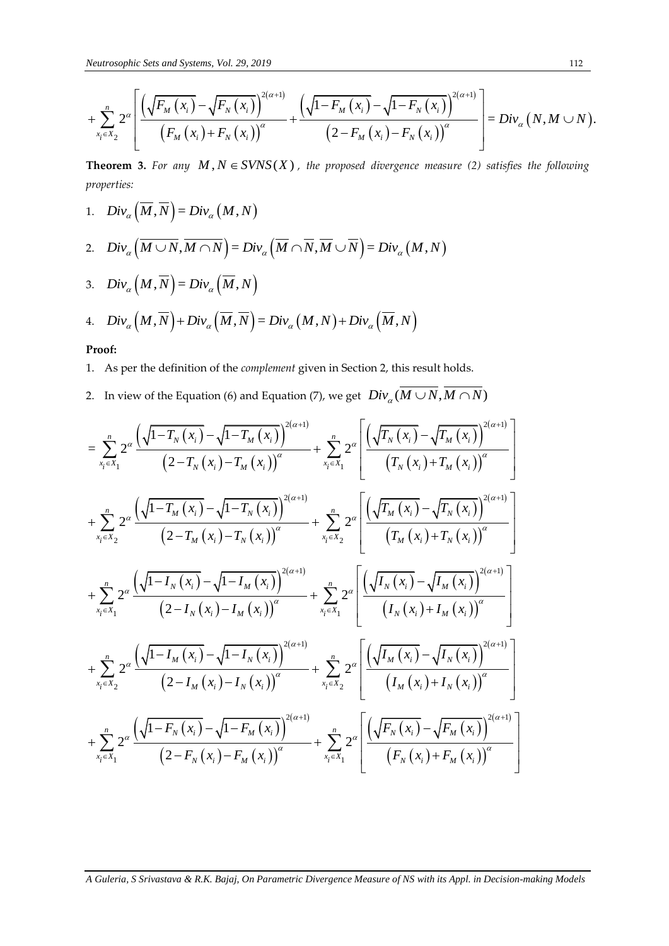*Neutrosophic Sets and Systems, Vol. 29, 2019*  
\n
$$
+ \sum_{x_i \in X_2}^{n} 2^{\alpha} \left[ \frac{\left(\sqrt{F_M(x_i)} - \sqrt{F_N(x_i)}\right)^{2(\alpha+1)}}{\left(F_M(x_i) + F_N(x_i)\right)^{\alpha}} + \frac{\left(\sqrt{1 - F_M(x_i)} - \sqrt{1 - F_N(x_i)}\right)^{2(\alpha+1)}}{\left(2 - F_M(x_i) - F_N(x_i)\right)^{\alpha}} \right] = Div_{\alpha}(N, M \cup N).
$$
\nTheorem 2. For any M, N. *SUNS*(*X*), the sumned diverges converges (2) satisfies the following.

**Theorem 3.** For any  $M, N \in SVNS(X)$ , the proposed divergence measure (2) satisfies the following *properties:*

1. 
$$
Div_{\alpha}\left(\overline{M}, \overline{N}\right) = Div_{\alpha}\left(M, N\right)
$$

1. 
$$
Div_{\alpha}(\overline{M}, \overline{N}) = Div_{\alpha}(M, N)
$$
  
\n2.  $Div_{\alpha}(\overline{M \cup N}, \overline{M \cap N}) = Div_{\alpha}(\overline{M} \cap \overline{N}, \overline{M} \cup \overline{N}) = Div_{\alpha}(M, N)$ 

3. 
$$
Div_{\alpha}(M, \overline{N}) = Div_{\alpha}(\overline{M}, N)
$$

3. 
$$
Div_{\alpha}(M, N) = Div_{\alpha}(M, N)
$$
  
4.  $Div_{\alpha}(M, \overline{N}) + Div_{\alpha}(\overline{M}, \overline{N}) = Div_{\alpha}(M, N) + Div_{\alpha}(\overline{M}, N)$ 

# **Proof:**

- 1. As per the definition of the *complement* given in Section 2, this result holds.
- 2. In view of the Equation (6) and Equation (7), we get  $\; Div_{\alpha}(\overline{M\cup N},\overline{M\cap N})$

+ 
$$
\sum_{x_i \in X_2}^n 2^a \left[ \frac{\sqrt{F_M(x_i)} - \sqrt{F_N(x_i)}}{(F_M(x_i) + F_N(x_i))^a} + \frac{\sqrt{1 - F_M(x_i)} - \sqrt{1 - F_N(x_i)}}{(2 - F_M(x_i) - F_N(x_i))^a} \right] = Div_a(N, M \cup N)
$$
  
\n**Theorem 3.** For any  $M, N \in SVNS(X)$ , the proposed divergence measure (2) satisfies the following properties:  
\n1.  $Div_a(\overline{M}, \overline{N}) = Div_a(M, N)$   
\n2.  $Div_a(\overline{M \cup N}, \overline{M \cap N}) = Div_a(\overline{M} \cap \overline{N}, \overline{M} \cup \overline{N}) = Div_a(M, N)$   
\n3.  $Div_a(M, \overline{N}) = Div_a(\overline{M}, \overline{N})$   
\n4.  $Div_a(M, \overline{N}) = Div_a(\overline{M}, \overline{N})$   
\n4.  $Div_a(M, \overline{N}) + Div_a(\overline{M}, \overline{N}) = Div_a(M, N) + Div_a(\overline{M}, N)$   
\n**Proof:**  
\n1. As per the definition of the complement given in Section 2, this result holds.  
\n2. In view of the Equation (6) and Equation (7), we get  $Div_a(\overline{M \cup N}, \overline{M \cap N})$   
\n $= \sum_{x_i \in X_1}^n 2^a \frac{(\sqrt{1 - T_N(x_i)} - \sqrt{1 - T_M(x_i)})^{2(a+1)}}{(2 - T_N(x_i) - T_M(x_i))^a} + \sum_{x_i \in X_1}^n 2^a \frac{(\sqrt{T_N(x_i)} - \sqrt{T_N(x_i)})^{2(a+1)}}{(T_N(x_i) + T_N(x_i))^a}$   
\n $+ \sum_{x_i \in X_2}^n 2^a \frac{(\sqrt{1 - T_N(x_i)} - \sqrt{1 - T_N(x_i)})^{2(a+1)}}{(2 - T_N(x_i) - T_N(x_i))^a} + \sum_{x_i \in X_2}^n 2^a \frac{(\sqrt{T_M(x_i)} - \sqrt{T_M(x_i)})^{2(a+1)}}{(T_M(x_i) + T_N(x_i))^a}$   
\n $+ \sum_{x_i \in X_2}^n 2^a \frac{(\sqrt{1 - T_N(x_i)} - \sqrt{1 - T_N(x_i)})^{2(a+1)}}{(2 - I_N(x_i)$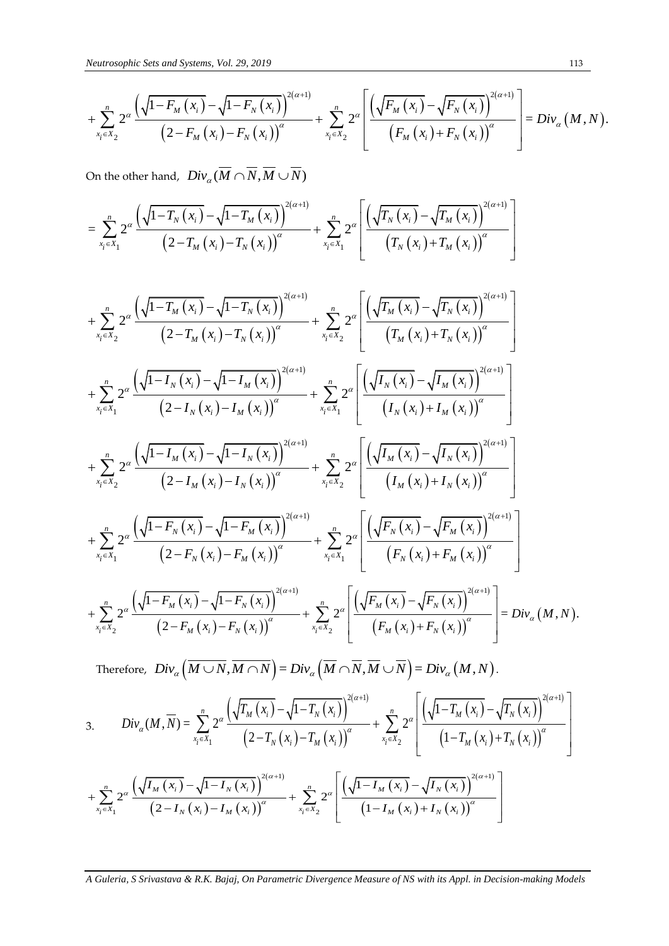*Neutrosophic Sets and Systems, Vol. 29, 2019*  
\n
$$
+ \sum_{x_i \in X_2}^{n} 2^{\alpha} \frac{\left(\sqrt{1 - F_M(x_i)} - \sqrt{1 - F_N(x_i)}\right)^{2(\alpha+1)}}{\left(2 - F_M(x_i) - F_N(x_i)\right)^{\alpha}} + \sum_{x_i \in X_2}^{n} 2^{\alpha} \left[ \frac{\left(\sqrt{F_M(x_i)} - \sqrt{F_N(x_i)}\right)^{2(\alpha+1)}}{\left(F_M(x_i) + F_N(x_i)\right)^{\alpha}} \right] = Div_{\alpha}(M, N).
$$

On the other hand, 
$$
Div_{\alpha}(\overline{M} \cap \overline{N}, \overline{M} \cup \overline{N})
$$
  
= 
$$
\sum_{x_i \in X_1}^{n} 2^{\alpha} \frac{\left(\sqrt{1 - T_N(x_i)} - \sqrt{1 - T_M(x_i)}\right)^{2(\alpha+1)}}{\left(2 - T_M(x_i) - T_N(x_i)\right)^{\alpha}} + \sum_{x_i \in X_1}^{n} 2^{\alpha} \left[\frac{\left(\sqrt{T_N(x_i)} - \sqrt{T_M(x_i)}\right)^{2(\alpha+1)}}{\left(T_N(x_i) + T_M(x_i)\right)^{\alpha}}\right]
$$

+ 
$$
\sum_{N=2}^{n} 2^a \frac{\sqrt{1-F_M(x_i)}-\sqrt{1-F_N(x_i)}}{(2-F_M(x_i)-F_N(x_i))^a} + \sum_{N=2}^{n} 2^a \frac{\sqrt{F_M(x_i)-F_N(x_i)^2}}{(F_M(x_i)+F_N(x_i))^a} = Div_a(M,
$$
  
\nOn the other hand,  $Div_a(\overline{M} \cap \overline{N}, \overline{M} \cup \overline{N})$   
\n $= \sum_{N=1}^{n} 2^a \frac{\sqrt{1-T_N(x_i)}-\sqrt{1-T_M(x_i)^2}}{(2-T_M(x_i)-T_N(x_i))^a} + \sum_{N=1}^{n} 2^a \frac{\sqrt{\left(\sqrt{F_N(x_i)}-\sqrt{F_M(x_i)}\right)^{2(a+i)}}{(T_N(x_i)+T_M(x_i))^a}\right]$   
\n+  $\sum_{N=2}^{n} 2^a \frac{\sqrt{\left(1-T_M(x_i)}-\sqrt{1-T_M(x_i)}\right)^{2(a+i)}}{(2-T_M(x_i)-T_N(x_i))^a} + \sum_{N=2}^{n} 2^a \frac{\left(\sqrt{F_M(x_i)}-\sqrt{F_N(x_i)}\right)^{2(a+i)}}{(T_M(x_i)+T_M(x_i))^a}\right]$   
\n+  $\sum_{N=2}^{n} 2^a \frac{\left(\sqrt{1-T_M(x_i)}-\sqrt{1-T_M(x_i)}\right)^{2(a+i)}}{(2-T_M(x_i)-T_N(x_i))^a} + \sum_{N=2}^{n} 2^a \frac{\left(\sqrt{F_M(x_i)}-\sqrt{F_N(x_i)}\right)^{2(a+i)}}{(T_M(x_i)+T_N(x_i))^a}\right]$   
\n+  $\sum_{N=2}^{n} 2^a \frac{\left(\sqrt{1-T_M(x_i)}-\sqrt{1-T_M(x_i)}\right)^{2(a+i)}}{(2-T_M(x_i)-T_M(x_i))^a} + \sum_{N=2}^{n} 2^a \frac{\left(\sqrt{F_M(x_i)}-\sqrt{F_M(x_i)}\right)^{2(a+i)}}{(T_M(x_i)+T_N(x_i))^a}\right]$   
\n+  $\sum_{N=2}^{n} 2^a \frac{\left(\sqrt{1-F_M(x_i)}-\sqrt{1-T_M(x_i)}\right)^{2(a+i)}}{(2-F_M(x_i)-T_M(x_i))^a} + \sum_{N=2}^{n} 2^a \frac{\left(\sqrt{F_M(x_i)}-\sqrt{F_M(x_i)}\right)^{2(a+i)}}{(F_M(x_i)+F_M(x_i))^a}\right]$   
\n

 $\big\{ \begin{aligned} \big(N,M\cup N\big) & = Div_{\alpha}\big(M,N\big). \ & \Big[ \left(\begin{array}{cc} \prod_{i} p_{\alpha} & \prod_{i} p_{\alpha} \end{array} \right) \left(\begin{array}{cc} \prod_{i} p_{\alpha} & \prod_{i} p_{\alpha} \end{array} \right)^{2(\alpha+1)} \Big] \Big\}$ 

Therefore, 
$$
Div_{\alpha}(\overline{M \cup N}, \overline{M \cap N}) = Div_{\alpha}(\overline{M} \cap \overline{N}, \overline{M} \cup \overline{N}) = Div_{\alpha}(M, N)
$$
.  
\n3.  $Div_{\alpha}(M, \overline{N}) = \sum_{x_i \in X_1}^{n} 2^{\alpha} \frac{\left(\sqrt{T_M(x_i)} - \sqrt{1 - T_N(x_i)}\right)^{2(\alpha+1)}}{\left(2 - T_N(x_i) - T_M(x_i)\right)^{\alpha}} + \sum_{x_i \in X_2}^{n} 2^{\alpha} \frac{\left(\sqrt{1 - T_M(x_i)} - \sqrt{T_N(x_i)}\right)^{2(\alpha+1)}}{\left(1 - T_M(x_i) + T_N(x_i)\right)^{\alpha}} + \sum_{x_i \in X_1}^{n} 2^{\alpha} \frac{\left(\sqrt{1 - T_M(x_i)} - \sqrt{T_N(x_i)}\right)^{2(\alpha+1)}}{\left(2 - T_N(x_i) - \sqrt{T_N(x_i)}\right)^{2(\alpha+1)}} + \sum_{x_i \in X_2}^{n} 2^{\alpha} \frac{\left(\sqrt{1 - T_M(x_i)} - \sqrt{T_N(x_i)}\right)^{2(\alpha+1)}}{\left(1 - T_M(x_i) + T_N(x_i)\right)^{\alpha}}\right]$ 

$$
+\sum_{x_{i}\in X_{1}}^{n} 2^{\alpha}\frac{\left(\sqrt{I_{M}(x_{i})}-\sqrt{1-I_{N}(x_{i})}\right)^{2(\alpha+1)}}{\left(2-I_{N}(x_{i})-I_{M}(x_{i})\right)^{\alpha}}+\sum_{x_{i}\in X_{2}}^{n} 2^{\alpha}\left[\frac{\left(\sqrt{1-I_{M}(x_{i})}-\sqrt{I_{N}(x_{i})}\right)^{2(\alpha+1)}}{\left(1-I_{M}(x_{i})+I_{N}(x_{i})\right)^{\alpha}}\right]
$$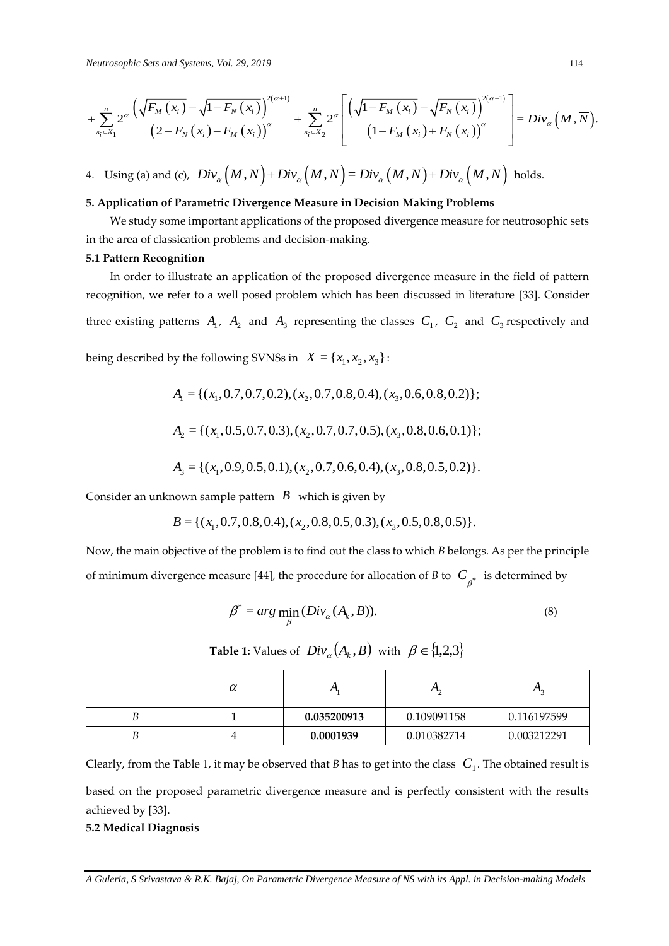*Neutrosophic Sets and Systems, Vol. 29, 2019*\n
$$
+ \sum_{x_i \in X_1}^{n} 2^{\alpha} \frac{\left(\sqrt{F_M(x_i)} - \sqrt{1 - F_N(x_i)}\right)^{2(\alpha+1)}}{\left(2 - F_N(x_i) - F_M(x_i)\right)^{\alpha}} + \sum_{x_i \in X_2}^{n} 2^{\alpha} \left[ \frac{\left(\sqrt{1 - F_M(x_i)} - \sqrt{F_N(x_i)}\right)^{2(\alpha+1)}}{\left(1 - F_M(x_i) + F_N(x_i)\right)^{\alpha}} \right] = Div_{\alpha}(M, \overline{N}).
$$

4. Using (a) and (c), 
$$
Div_{\alpha}(M,\overline{N}) + Div_{\alpha}(\overline{M},\overline{N}) = Div_{\alpha}(M,N) + Div_{\alpha}(\overline{M},N)
$$
 holds.

# **5. Application of Parametric Divergence Measure in Decision Making Problems**

We study some important applications of the proposed divergence measure for neutrosophic sets in the area of classication problems and decision-making.

## **5.1 Pattern Recognition**

*A*  $\sum_{n=1}^{\infty} \frac{\sqrt{n_k} (K_n - \sqrt{1 - F_n(x_1)})^n}{(1 - F_n(x_1) - F_n(x_1))^n}$  +  $\sum_{n=1}^{\infty} \frac{x^n}{(1 - F_n(x_1) - F_n(x_1))^n}$  = *Dire<sub>n</sub>* $(M, N)$  bodds.<br>
A Using (a) and (c). *Div<sub>e</sub>* $(M, N) + D_{\text{P}_0}(M, N)$  bore<sub>n</sub> $(M, N) + D_{\text{P}_0}(M, N)$  bodds.<br>
A Appli In order to illustrate an application of the proposed divergence measure in the field of pattern recognition, we refer to a well posed problem which has been discussed in literature [33]. Consider three existing patterns  $A_1$ ,  $A_2$  and  $A_3$  representing the classes  $C_1$ ,  $C_2$  and  $C_3$  respectively and being described by the following SVNSs in  $X = \{x_1, x_2, x_3\}$ :

by the following SVMSS in 
$$
X = \{x_1, x_2, x_3\}
$$
:  
\n
$$
A_1 = \{ (x_1, 0.7, 0.7, 0.2), (x_2, 0.7, 0.8, 0.4), (x_3, 0.6, 0.8, 0.2) \};
$$
\n
$$
A_2 = \{ (x_1, 0.5, 0.7, 0.3), (x_2, 0.7, 0.7, 0.5), (x_3, 0.8, 0.6, 0.1) \};
$$
\n
$$
A_3 = \{ (x_1, 0.9, 0.5, 0.1), (x_2, 0.7, 0.6, 0.4), (x_3, 0.8, 0.5, 0.2) \}.
$$

Consider an unknown sample pattern *B* which is given by  
\n
$$
B = \{ (x_1, 0.7, 0.8, 0.4), (x_2, 0.8, 0.5, 0.3), (x_3, 0.5, 0.8, 0.5) \}.
$$

Now, the main objective of the problem is to find out the class to which *B* belongs. As per the principle of minimum divergence measure [44], the procedure for allocation of *B* to  $\ C_{\beta^*}^*$  is determined by

$$
\beta^* = \arg\min_{\beta} (Div_{\alpha}(A_k, B)).
$$
\n(8)

**Table 1:** Values of  $Div_{\alpha}(A_k, B)$  with  $\beta \in \{1,2,3\}$ 

| $\boldsymbol{\mathcal{U}}$ | $\overline{1}$ | ഫ           | $\mathbf{L}$ |
|----------------------------|----------------|-------------|--------------|
|                            | 0.035200913    | 0.109091158 | 0.116197599  |
|                            | 0.0001939      | 0.010382714 | 0.003212291  |

Clearly, from the Table 1, it may be observed that *B* has to get into the class  $C_1$ . The obtained result is based on the proposed parametric divergence measure and is perfectly consistent with the results achieved by [33].

# **5.2 Medical Diagnosis**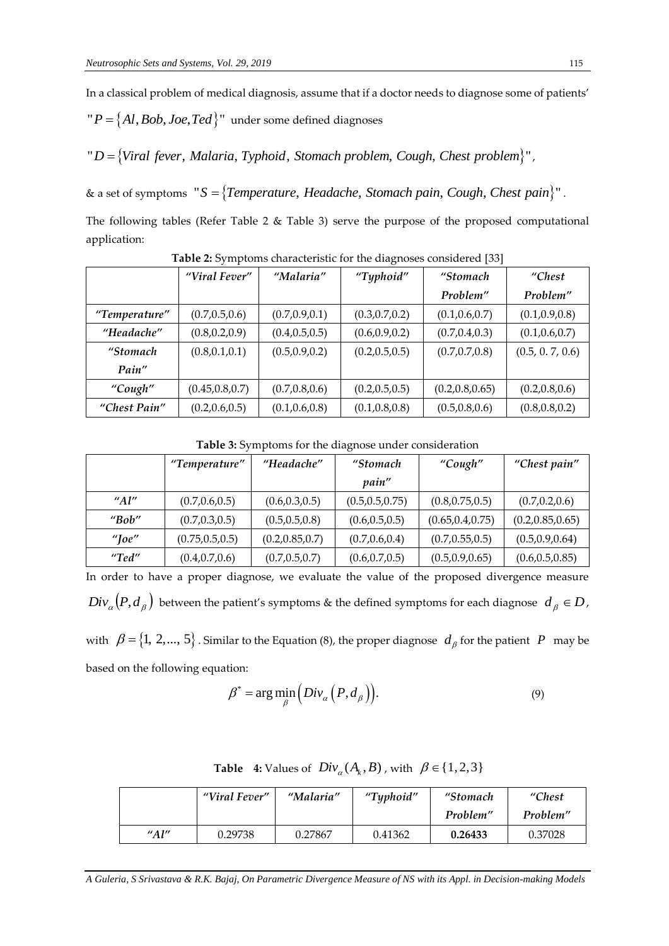In a classical problem of medical diagnosis, assume that if a doctor needs to diagnose some of patients'

 $P = \{Al, Bob, Joe, Ted\}$ " under some defined diagnoses

"  $D = \{Viral \, fever, \, Malaria, \, Typhoid, \, Stomach \, problem, \, Cough, \, Chester \, problem\}$ ",

& a set of symptoms Malaria, Typhoid, Stomach problem, Cough, Chest problem}",<br>"S = {Temperature, Headache, Stomach pain, Cough, Chest pain}".

The following tables (Refer Table 2 & Table 3) serve the purpose of the proposed computational application:

|               | "Viral Fever"    | "Malaria"       | "Typhoid"       | "Stomach         | "Chest          |
|---------------|------------------|-----------------|-----------------|------------------|-----------------|
|               |                  |                 |                 | Problem"         | Problem"        |
| "Temperature" | (0.7, 0.5, 0.6)  | (0.7, 0.9, 0.1) | (0.3, 0.7, 0.2) | (0.1, 0.6, 0.7)  | (0.1, 0.9, 0.8) |
| "Headache"    | (0.8, 0.2, 0.9)  | (0.4, 0.5, 0.5) | (0.6, 0.9, 0.2) | (0.7, 0.4, 0.3)  | (0.1, 0.6, 0.7) |
| "Stomach      | (0.8, 0.1, 0.1)  | (0.5, 0.9, 0.2) | (0.2, 0.5, 0.5) | (0.7, 0.7, 0.8)  | (0.5, 0.7, 0.6) |
| Pain"         |                  |                 |                 |                  |                 |
| "Cough"       | (0.45, 0.8, 0.7) | (0.7, 0.8, 0.6) | (0.2, 0.5, 0.5) | (0.2, 0.8, 0.65) | (0.2, 0.8, 0.6) |
| "Chest Pain"  | (0.2, 0.6, 0.5)  | (0.1, 0.6, 0.8) | (0.1, 0.8, 0.8) | (0.5, 0.8, 0.6)  | (0.8, 0.8, 0.2) |

**Table 2:** Symptoms characteristic for the diagnoses considered [33]

|                        | "Temperature"    | "Headache"       | "Stomach         | "Cough"           | "Chest pain"      |
|------------------------|------------------|------------------|------------------|-------------------|-------------------|
|                        |                  |                  | <i>pain"</i>     |                   |                   |
| $^{\prime\prime}$ Al'' | (0.7, 0.6, 0.5)  | (0.6, 0.3, 0.5)  | (0.5, 0.5, 0.75) | (0.8, 0.75, 0.5)  | (0.7, 0.2, 0.6)   |
| "Bob"                  | (0.7, 0.3, 0.5)  | (0.5, 0.5, 0.8)  | (0.6, 0.5, 0.5)  | (0.65, 0.4, 0.75) | (0.2, 0.85, 0.65) |
| " $\textsf{Ioe}$ "     | (0.75, 0.5, 0.5) | (0.2, 0.85, 0.7) | (0.7, 0.6, 0.4)  | (0.7, 0.55, 0.5)  | (0.5, 0.9, 0.64)  |
| ''Ted''                | (0.4, 0.7, 0.6)  | (0.7, 0.5, 0.7)  | (0.6, 0.7, 0.5)  | (0.5, 0.9, 0.65)  | (0.6, 0.5, 0.85)  |

In order to have a proper diagnose, we evaluate the value of the proposed divergence measure  $Div_{\alpha}(P,d_{\beta})$  between the patient's symptoms & the defined symptoms for each diagnose  $d_{\beta} \in D$ , with  $\beta = \{1, 2, ..., 5\}$ . Similar to the Equation (8), the proper diagnose  $d_{\beta}$  for the patient  $P$  may be

based on the following equation:

$$
\beta^* = \arg\min_{\beta} \left( Div_{\alpha}\left(P, d_{\beta}\right)\right).
$$
\n(9)

|         | "Viral Fever" | "Malaria" | "Typhoid" | "Stomach | "Chest"  |
|---------|---------------|-----------|-----------|----------|----------|
|         |               |           |           | Problem" | Problem" |
| " $Al"$ | 0.29738       | 0.27867   | 0.41362   | 0.26433  | 0.37028  |

**Table 4:** Values of  $Div_{\alpha}(A_k, B)$ , with  $\beta \in \{1, 2, 3\}$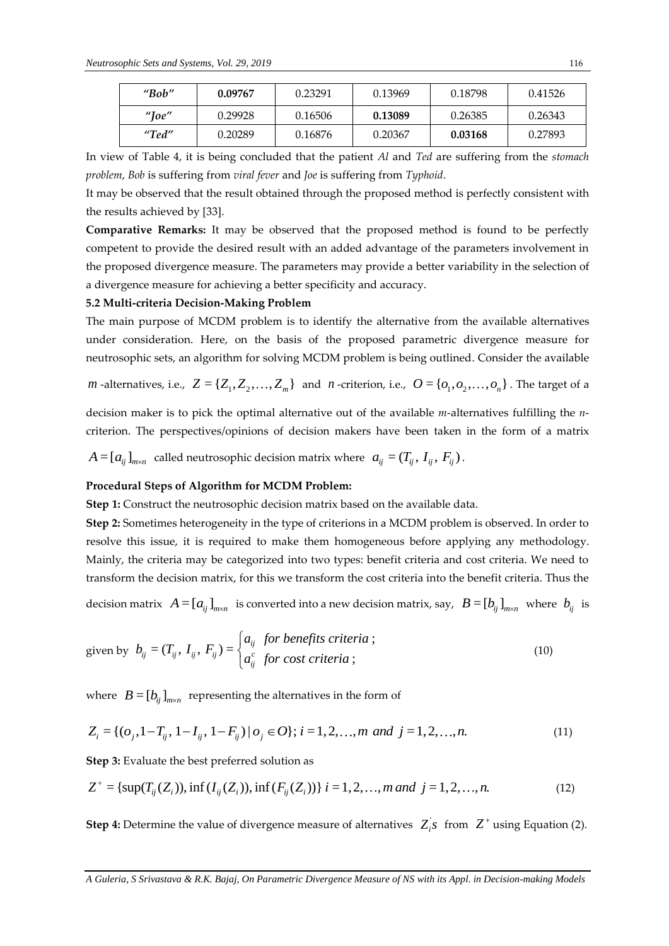| "Bob" | 0.09767 | 0.23291 | 0.13969 | 0.18798 | 0.41526 |
|-------|---------|---------|---------|---------|---------|
| "Ioe" | 0.29928 | 0.16506 | 0.13089 | 0.26385 | 0.26343 |
| "Ted" | 0.20289 | 0.16876 | 0.20367 | 0.03168 | 0.27893 |

In view of Table 4, it is being concluded that the patient *Al* and *Ted* are suffering from the *stomach problem*, *Bob* is suffering from *viral fever* and *Joe* is suffering from *Typhoid*.

It may be observed that the result obtained through the proposed method is perfectly consistent with the results achieved by [33].

**Comparative Remarks:** It may be observed that the proposed method is found to be perfectly competent to provide the desired result with an added advantage of the parameters involvement in the proposed divergence measure. The parameters may provide a better variability in the selection of a divergence measure for achieving a better specificity and accuracy.

# **5.2 Multi-criteria Decision-Making Problem**

The main purpose of MCDM problem is to identify the alternative from the available alternatives under consideration. Here, on the basis of the proposed parametric divergence measure for neutrosophic sets, an algorithm for solving MCDM problem is being outlined. Consider the available

*m* -alternatives, i.e., 
$$
Z = \{Z_1, Z_2, ..., Z_m\}
$$
 and *n*-criterion, i.e.,  $O = \{O_1, O_2, ..., O_n\}$ . The target of a

decision maker is to pick the optimal alternative out of the available *m*-alternatives fulfilling the *n*criterion. The perspectives/opinions of decision makers have been taken in the form of a matrix

 $A = [a_{ij}]_{m \times n}$  called neutrosophic decision matrix where  $a_{ij} = (T_{ij}, I_{ij}, F_{ij})$ .

# **Procedural Steps of Algorithm for MCDM Problem:**

**Step 1:** Construct the neutrosophic decision matrix based on the available data.

**Step 2:** Sometimes heterogeneity in the type of criterions in a MCDM problem is observed. In order to resolve this issue, it is required to make them homogeneous before applying any methodology. Mainly, the criteria may be categorized into two types: benefit criteria and cost criteria. We need to transform the decision matrix, for this we transform the cost criteria into the benefit criteria. Thus the

decision matrix  $A = [a_{ij}]_{m \times n}$  is converted into a new decision matrix, say,  $B = [b_{ij}]_{m \times n}$  where  $b_{ij}$  is

given by 
$$
b_{ij} = (T_{ij}, I_{ij}, F_{ij}) = \begin{cases} a_{ij} & \text{for benefits criteria;} \\ a_{ij}^c & \text{for cost criteria;} \end{cases}
$$
 (10)

where  $B = [b_{ij}]_{m \times n}$  representing the alternatives in the form of

where 
$$
B = [b_{ij}]_{m \times n}
$$
 representing the alternatives in the form of  
\n
$$
Z_i = \{ (o_j, 1 - T_{ij}, 1 - I_{ij}, 1 - F_{ij}) | o_j \in O \}; i = 1, 2, ..., m \text{ and } j = 1, 2, ..., n.
$$
\n(11)

**Step 3:** Evaluate the best preferred solution as

Step 3: Evaluate the best preferred solution as  
\n
$$
Z^+ = \{ \sup(T_{ij}(Z_i)), \inf(I_{ij}(Z_i)), \inf(F_{ij}(Z_i)) \} \ i = 1, 2, ..., m \ and \ j = 1, 2, ..., n. \tag{12}
$$

**Step 4:** Determine the value of divergence measure of alternatives  $Z_i$ <sup>'</sup>, from  $Z^+$  using Equation (2).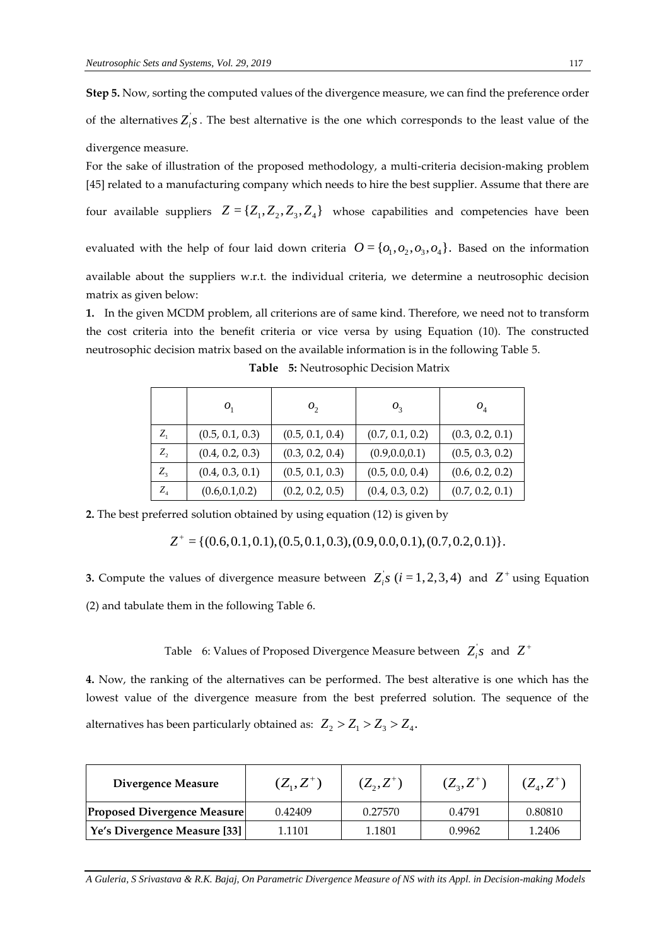**Step 5.** Now, sorting the computed values of the divergence measure, we can find the preference order of the alternatives  $Z_i$ 's. The best alternative is the one which corresponds to the least value of the divergence measure.

For the sake of illustration of the proposed methodology, a multi-criteria decision-making problem [45] related to a manufacturing company which needs to hire the best supplier. Assume that there are four available suppliers  $Z = \{Z_1, Z_2, Z_3, Z_4\}$  whose capabilities and competencies have been

evaluated with the help of four laid down criteria  $O = \{O_1, O_2, O_3, O_4\}$ . Based on the information available about the suppliers w.r.t. the individual criteria, we determine a neutrosophic decision matrix as given below:

**1.** In the given MCDM problem, all criterions are of same kind. Therefore, we need not to transform the cost criteria into the benefit criteria or vice versa by using Equation (10). The constructed neutrosophic decision matrix based on the available information is in the following Table 5.

|         | $\boldsymbol{o}$ | $o_{2}$         | $O_3$           | $O_4$           |
|---------|------------------|-----------------|-----------------|-----------------|
| $Z_{1}$ | (0.5, 0.1, 0.3)  | (0.5, 0.1, 0.4) | (0.7, 0.1, 0.2) | (0.3, 0.2, 0.1) |
| $Z_{2}$ | (0.4, 0.2, 0.3)  | (0.3, 0.2, 0.4) | (0.9, 0.0, 0.1) | (0.5, 0.3, 0.2) |
| $Z_{3}$ | (0.4, 0.3, 0.1)  | (0.5, 0.1, 0.3) | (0.5, 0.0, 0.4) | (0.6, 0.2, 0.2) |
| $Z_4$   | (0.6, 0.1, 0.2)  | (0.2, 0.2, 0.5) | (0.4, 0.3, 0.2) | (0.7, 0.2, 0.1) |

**Table 5:** Neutrosophic Decision Matrix

**2.** The best preferred solution obtained by using equation (12) is given by

$$
Z^+ = \{(0.6, 0.1, 0.1), (0.5, 0.1, 0.3), (0.9, 0.0, 0.1), (0.7, 0.2, 0.1)\}.
$$

**3.** Compute the values of divergence measure between  $Z_i$ 's  $(i = 1, 2, 3, 4)$  and  $Z^+$  using Equation (2) and tabulate them in the following Table 6.

Table – 6: Values of Proposed Divergence Measure between  $|Z_i^{\dagger} s|$  and  $|Z^{\dagger} s|$ 

**4.** Now, the ranking of the alternatives can be performed. The best alterative is one which has the lowest value of the divergence measure from the best preferred solution. The sequence of the alternatives has been particularly obtained as:  $Z_2 > Z_1 > Z_3 > Z_4$ .

| <b>Divergence Measure</b>          | $(Z_1, Z^+)$ | $(Z_2, Z^+)$ | $(Z_{3},Z^{+})$ | $(Z_{\scriptscriptstyle A},Z^+)$ |
|------------------------------------|--------------|--------------|-----------------|----------------------------------|
| <b>Proposed Divergence Measure</b> | 0.42409      | 0.27570      | 0.4791          | 0.80810                          |
| Ye's Divergence Measure [33]       | 1.1101       | 1.1801       | 0.9962          | 1.2406                           |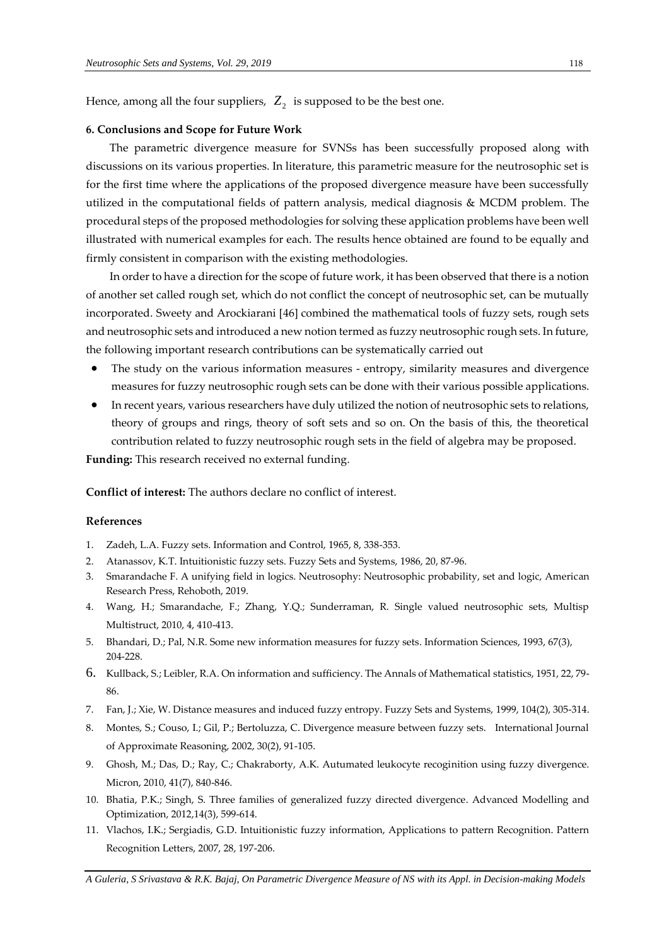Hence, among all the four suppliers,  $Z_2$  is supposed to be the best one.

# **6. Conclusions and Scope for Future Work**

The parametric divergence measure for SVNSs has been successfully proposed along with discussions on its various properties. In literature, this parametric measure for the neutrosophic set is for the first time where the applications of the proposed divergence measure have been successfully utilized in the computational fields of pattern analysis, medical diagnosis & MCDM problem. The procedural steps of the proposed methodologies for solving these application problems have been well illustrated with numerical examples for each. The results hence obtained are found to be equally and firmly consistent in comparison with the existing methodologies.

In order to have a direction for the scope of future work, it has been observed that there is a notion of another set called rough set, which do not conflict the concept of neutrosophic set, can be mutually incorporated. Sweety and Arockiarani [46] combined the mathematical tools of fuzzy sets, rough sets and neutrosophic sets and introduced a new notion termed as fuzzy neutrosophic rough sets. In future, the following important research contributions can be systematically carried out

- The study on the various information measures entropy, similarity measures and divergence measures for fuzzy neutrosophic rough sets can be done with their various possible applications.
- In recent years, various researchers have duly utilized the notion of neutrosophic sets to relations, theory of groups and rings, theory of soft sets and so on. On the basis of this, the theoretical contribution related to fuzzy neutrosophic rough sets in the field of algebra may be proposed.

**Funding:** This research received no external funding.

**Conflict of interest:** The authors declare no conflict of interest.

# **References**

- 1. Zadeh, L.A. Fuzzy sets. Information and Control, 1965, 8, 338-353.
- 2. Atanassov, K.T. Intuitionistic fuzzy sets. Fuzzy Sets and Systems, 1986, 20, 87-96.
- 3. Smarandache F. A unifying field in logics. Neutrosophy: Neutrosophic probability, set and logic, American Research Press, Rehoboth, 2019.
- 4. Wang, H.; Smarandache, F.; Zhang, Y.Q.; Sunderraman, R. Single valued neutrosophic sets, Multisp Multistruct, 2010, 4, 410-413.
- 5. Bhandari, D.; Pal, N.R. Some new information measures for fuzzy sets. Information Sciences, 1993, 67(3), 204-228.
- 6. Kullback, S.; Leibler, R.A. On information and sufficiency. The Annals of Mathematical statistics, 1951, 22, 79- 86.
- 7. Fan, J.; Xie, W. Distance measures and induced fuzzy entropy. Fuzzy Sets and Systems, 1999, 104(2), 305-314.
- 8. Montes, S.; Couso, I.; Gil, P.; Bertoluzza, C. Divergence measure between fuzzy sets. International Journal of Approximate Reasoning, 2002, 30(2), 91-105.
- 9. Ghosh, M.; Das, D.; Ray, C.; Chakraborty, A.K. Autumated leukocyte recoginition using fuzzy divergence. Micron, 2010, 41(7), 840-846.
- 10. Bhatia, P.K.; Singh, S. Three families of generalized fuzzy directed divergence. Advanced Modelling and Optimization, 2012,14(3), 599-614.
- 11. Vlachos, I.K.; Sergiadis, G.D. Intuitionistic fuzzy information, Applications to pattern Recognition. Pattern Recognition Letters, 2007, 28, 197-206.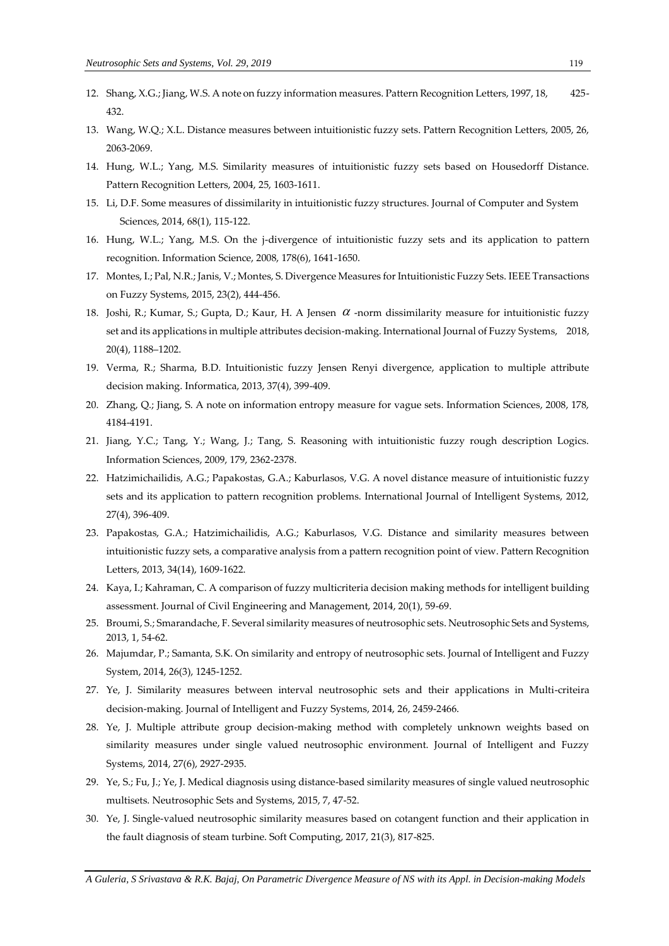- 12. Shang, X.G.; Jiang, W.S. A note on fuzzy information measures. Pattern Recognition Letters, 1997, 18, 425- 432.
- 13. Wang, W.Q.; X.L. Distance measures between intuitionistic fuzzy sets. Pattern Recognition Letters, 2005, 26, 2063-2069.
- 14. Hung, W.L.; Yang, M.S. Similarity measures of intuitionistic fuzzy sets based on Housedorff Distance. Pattern Recognition Letters, 2004, 25, 1603-1611.
- 15. Li, D.F. Some measures of dissimilarity in intuitionistic fuzzy structures. Journal of Computer and System Sciences, 2014, 68(1), 115-122.
- 16. Hung, W.L.; Yang, M.S. On the j-divergence of intuitionistic fuzzy sets and its application to pattern recognition. Information Science, 2008, 178(6), 1641-1650.
- 17. Montes, I.; Pal, N.R.; Janis, V.; Montes, S. Divergence Measures for Intuitionistic Fuzzy Sets. IEEE Transactions on Fuzzy Systems, 2015, 23(2), 444-456.
- 18. Joshi, R.; Kumar, S.; Gupta, D.; Kaur, H. A Jensen  $\alpha$  -norm dissimilarity measure for intuitionistic fuzzy set and its applications in multiple attributes decision-making. International Journal of Fuzzy Systems, 2018, 20(4), 1188–1202.
- 19. Verma, R.; Sharma, B.D. Intuitionistic fuzzy Jensen Renyi divergence, application to multiple attribute decision making. Informatica, 2013, 37(4), 399-409.
- 20. Zhang, Q.; Jiang, S. A note on information entropy measure for vague sets. Information Sciences, 2008, 178, 4184-4191.
- 21. Jiang, Y.C.; Tang, Y.; Wang, J.; Tang, S. Reasoning with intuitionistic fuzzy rough description Logics. Information Sciences, 2009, 179, 2362-2378.
- 22. Hatzimichailidis, A.G.; Papakostas, G.A.; Kaburlasos, V.G. A novel distance measure of intuitionistic fuzzy sets and its application to pattern recognition problems. International Journal of Intelligent Systems, 2012, 27(4), 396-409.
- 23. Papakostas, G.A.; Hatzimichailidis, A.G.; Kaburlasos, V.G. Distance and similarity measures between intuitionistic fuzzy sets, a comparative analysis from a pattern recognition point of view. Pattern Recognition Letters, 2013, 34(14), 1609-1622.
- 24. Kaya, I.; Kahraman, C. A comparison of fuzzy multicriteria decision making methods for intelligent building assessment. Journal of Civil Engineering and Management, 2014, 20(1), 59-69.
- 25. Broumi, S.; Smarandache, F. Several similarity measures of neutrosophic sets. Neutrosophic Sets and Systems, 2013, 1, 54-62.
- 26. Majumdar, P.; Samanta, S.K. On similarity and entropy of neutrosophic sets. Journal of Intelligent and Fuzzy System, 2014, 26(3), 1245-1252.
- 27. Ye, J. Similarity measures between interval neutrosophic sets and their applications in Multi-criteira decision-making. Journal of Intelligent and Fuzzy Systems, 2014, 26, 2459-2466.
- 28. Ye, J. Multiple attribute group decision-making method with completely unknown weights based on similarity measures under single valued neutrosophic environment. Journal of Intelligent and Fuzzy Systems, 2014, 27(6), 2927-2935.
- 29. Ye, S.; Fu, J.; Ye, J. Medical diagnosis using distance-based similarity measures of single valued neutrosophic multisets. Neutrosophic Sets and Systems, 2015, 7, 47-52.
- 30. Ye, J. Single-valued neutrosophic similarity measures based on cotangent function and their application in the fault diagnosis of steam turbine. Soft Computing, 2017, 21(3), 817-825.